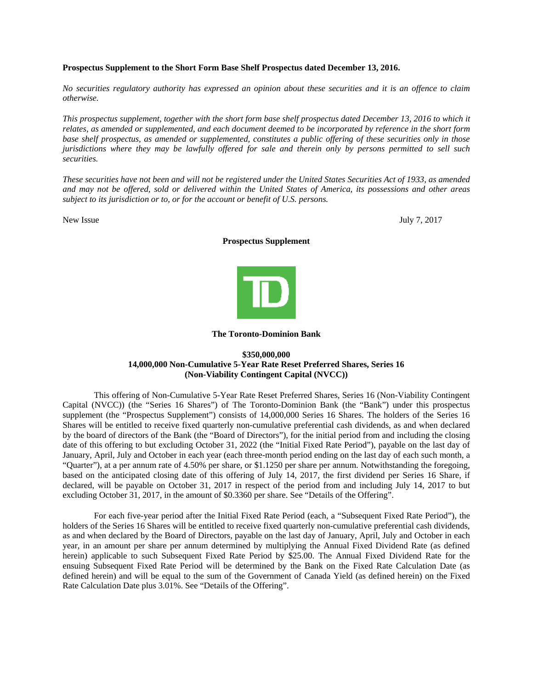#### **Prospectus Supplement to the Short Form Base Shelf Prospectus dated December 13, 2016.**

*No securities regulatory authority has expressed an opinion about these securities and it is an offence to claim otherwise.* 

*This prospectus supplement, together with the short form base shelf prospectus dated December 13, 2016 to which it relates, as amended or supplemented, and each document deemed to be incorporated by reference in the short form base shelf prospectus, as amended or supplemented, constitutes a public offering of these securities only in those jurisdictions where they may be lawfully offered for sale and therein only by persons permitted to sell such securities.* 

*These securities have not been and will not be registered under the United States Securities Act of 1933, as amended and may not be offered, sold or delivered within the United States of America, its possessions and other areas subject to its jurisdiction or to, or for the account or benefit of U.S. persons.* 

New Issue July 7, 2017

#### **Prospectus Supplement**



#### **The Toronto-Dominion Bank**

## **\$350,000,000 14,000,000 Non-Cumulative 5-Year Rate Reset Preferred Shares, Series 16 (Non-Viability Contingent Capital (NVCC))**

This offering of Non-Cumulative 5-Year Rate Reset Preferred Shares, Series 16 (Non-Viability Contingent Capital (NVCC)) (the "Series 16 Shares") of The Toronto-Dominion Bank (the "Bank") under this prospectus supplement (the "Prospectus Supplement") consists of 14,000,000 Series 16 Shares. The holders of the Series 16 Shares will be entitled to receive fixed quarterly non-cumulative preferential cash dividends, as and when declared by the board of directors of the Bank (the "Board of Directors"), for the initial period from and including the closing date of this offering to but excluding October 31, 2022 (the "Initial Fixed Rate Period"), payable on the last day of January, April, July and October in each year (each three-month period ending on the last day of each such month, a "Quarter"), at a per annum rate of 4.50% per share, or \$1.1250 per share per annum. Notwithstanding the foregoing, based on the anticipated closing date of this offering of July 14, 2017, the first dividend per Series 16 Share, if declared, will be payable on October 31, 2017 in respect of the period from and including July 14, 2017 to but excluding October 31, 2017, in the amount of \$0.3360 per share. See "Details of the Offering".

For each five-year period after the Initial Fixed Rate Period (each, a "Subsequent Fixed Rate Period"), the holders of the Series 16 Shares will be entitled to receive fixed quarterly non-cumulative preferential cash dividends, as and when declared by the Board of Directors, payable on the last day of January, April, July and October in each year, in an amount per share per annum determined by multiplying the Annual Fixed Dividend Rate (as defined herein) applicable to such Subsequent Fixed Rate Period by \$25.00. The Annual Fixed Dividend Rate for the ensuing Subsequent Fixed Rate Period will be determined by the Bank on the Fixed Rate Calculation Date (as defined herein) and will be equal to the sum of the Government of Canada Yield (as defined herein) on the Fixed Rate Calculation Date plus 3.01%. See "Details of the Offering".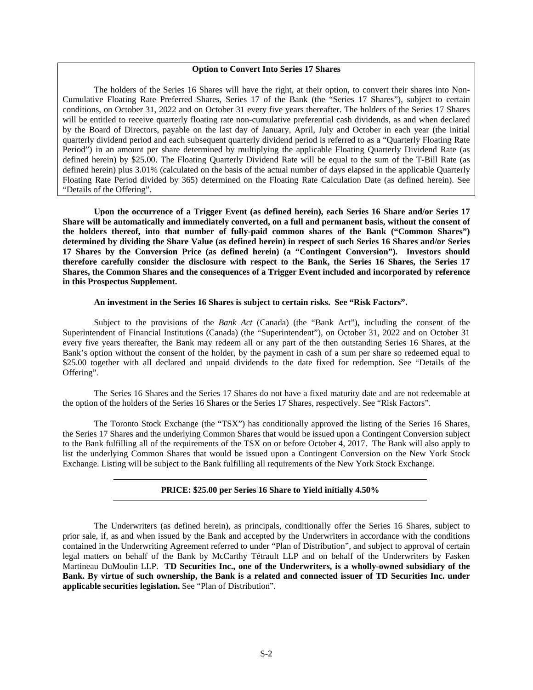#### **Option to Convert Into Series 17 Shares**

The holders of the Series 16 Shares will have the right, at their option, to convert their shares into Non-Cumulative Floating Rate Preferred Shares, Series 17 of the Bank (the "Series 17 Shares"), subject to certain conditions, on October 31, 2022 and on October 31 every five years thereafter. The holders of the Series 17 Shares will be entitled to receive quarterly floating rate non-cumulative preferential cash dividends, as and when declared by the Board of Directors, payable on the last day of January, April, July and October in each year (the initial quarterly dividend period and each subsequent quarterly dividend period is referred to as a "Quarterly Floating Rate Period") in an amount per share determined by multiplying the applicable Floating Quarterly Dividend Rate (as defined herein) by \$25.00. The Floating Quarterly Dividend Rate will be equal to the sum of the T-Bill Rate (as defined herein) plus 3.01% (calculated on the basis of the actual number of days elapsed in the applicable Quarterly Floating Rate Period divided by 365) determined on the Floating Rate Calculation Date (as defined herein). See "Details of the Offering".

**Upon the occurrence of a Trigger Event (as defined herein), each Series 16 Share and/or Series 17 Share will be automatically and immediately converted, on a full and permanent basis, without the consent of the holders thereof, into that number of fully-paid common shares of the Bank ("Common Shares") determined by dividing the Share Value (as defined herein) in respect of such Series 16 Shares and/or Series 17 Shares by the Conversion Price (as defined herein) (a "Contingent Conversion"). Investors should therefore carefully consider the disclosure with respect to the Bank, the Series 16 Shares, the Series 17 Shares, the Common Shares and the consequences of a Trigger Event included and incorporated by reference in this Prospectus Supplement.** 

### **An investment in the Series 16 Shares is subject to certain risks. See "Risk Factors".**

Subject to the provisions of the *Bank Act* (Canada) (the "Bank Act"), including the consent of the Superintendent of Financial Institutions (Canada) (the "Superintendent"), on October 31, 2022 and on October 31 every five years thereafter, the Bank may redeem all or any part of the then outstanding Series 16 Shares, at the Bank's option without the consent of the holder, by the payment in cash of a sum per share so redeemed equal to \$25.00 together with all declared and unpaid dividends to the date fixed for redemption. See "Details of the Offering".

The Series 16 Shares and the Series 17 Shares do not have a fixed maturity date and are not redeemable at the option of the holders of the Series 16 Shares or the Series 17 Shares, respectively. See "Risk Factors".

The Toronto Stock Exchange (the "TSX") has conditionally approved the listing of the Series 16 Shares, the Series 17 Shares and the underlying Common Shares that would be issued upon a Contingent Conversion subject to the Bank fulfilling all of the requirements of the TSX on or before October 4, 2017. The Bank will also apply to list the underlying Common Shares that would be issued upon a Contingent Conversion on the New York Stock Exchange. Listing will be subject to the Bank fulfilling all requirements of the New York Stock Exchange.

### **PRICE: \$25.00 per Series 16 Share to Yield initially 4.50%**

The Underwriters (as defined herein), as principals, conditionally offer the Series 16 Shares, subject to prior sale, if, as and when issued by the Bank and accepted by the Underwriters in accordance with the conditions contained in the Underwriting Agreement referred to under "Plan of Distribution", and subject to approval of certain legal matters on behalf of the Bank by McCarthy Tétrault LLP and on behalf of the Underwriters by Fasken Martineau DuMoulin LLP. **TD Securities Inc., one of the Underwriters, is a wholly-owned subsidiary of the Bank. By virtue of such ownership, the Bank is a related and connected issuer of TD Securities Inc. under applicable securities legislation.** See "Plan of Distribution".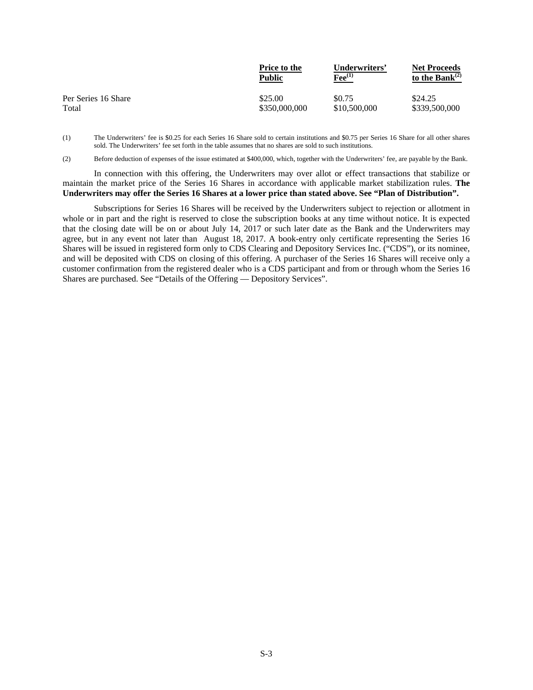|                     | <b>Price to the</b> | Underwriters'            | <b>Net Proceeds</b>  |
|---------------------|---------------------|--------------------------|----------------------|
|                     | Public              | $\mathbf{F}$ ee $^{(1)}$ | to the Bank $^{(2)}$ |
| Per Series 16 Share | \$25.00             | \$0.75                   | \$24.25              |
| Total               | \$350,000,000       | \$10,500,000             | \$339,500,000        |

(1) The Underwriters' fee is \$0.25 for each Series 16 Share sold to certain institutions and \$0.75 per Series 16 Share for all other shares sold. The Underwriters' fee set forth in the table assumes that no shares are sold to such institutions.

(2) Before deduction of expenses of the issue estimated at \$400,000, which, together with the Underwriters' fee, are payable by the Bank.

In connection with this offering, the Underwriters may over allot or effect transactions that stabilize or maintain the market price of the Series 16 Shares in accordance with applicable market stabilization rules. **The Underwriters may offer the Series 16 Shares at a lower price than stated above. See "Plan of Distribution".** 

Subscriptions for Series 16 Shares will be received by the Underwriters subject to rejection or allotment in whole or in part and the right is reserved to close the subscription books at any time without notice. It is expected that the closing date will be on or about July 14, 2017 or such later date as the Bank and the Underwriters may agree, but in any event not later than August 18, 2017. A book-entry only certificate representing the Series 16 Shares will be issued in registered form only to CDS Clearing and Depository Services Inc. ("CDS"), or its nominee, and will be deposited with CDS on closing of this offering. A purchaser of the Series 16 Shares will receive only a customer confirmation from the registered dealer who is a CDS participant and from or through whom the Series 16 Shares are purchased. See "Details of the Offering — Depository Services".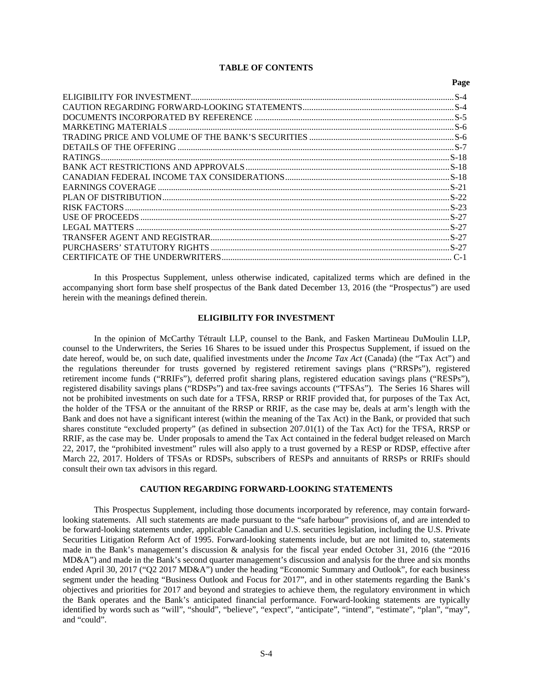## **TABLE OF CONTENTS**

**Page** 

In this Prospectus Supplement, unless otherwise indicated, capitalized terms which are defined in the accompanying short form base shelf prospectus of the Bank dated December 13, 2016 (the "Prospectus") are used herein with the meanings defined therein.

#### **ELIGIBILITY FOR INVESTMENT**

In the opinion of McCarthy Tétrault LLP, counsel to the Bank, and Fasken Martineau DuMoulin LLP, counsel to the Underwriters, the Series 16 Shares to be issued under this Prospectus Supplement, if issued on the date hereof, would be, on such date, qualified investments under the *Income Tax Act* (Canada) (the "Tax Act") and the regulations thereunder for trusts governed by registered retirement savings plans ("RRSPs"), registered retirement income funds ("RRIFs"), deferred profit sharing plans, registered education savings plans ("RESPs"), registered disability savings plans ("RDSPs") and tax-free savings accounts ("TFSAs"). The Series 16 Shares will not be prohibited investments on such date for a TFSA, RRSP or RRIF provided that, for purposes of the Tax Act, the holder of the TFSA or the annuitant of the RRSP or RRIF, as the case may be, deals at arm's length with the Bank and does not have a significant interest (within the meaning of the Tax Act) in the Bank, or provided that such shares constitute "excluded property" (as defined in subsection 207.01(1) of the Tax Act) for the TFSA, RRSP or RRIF, as the case may be. Under proposals to amend the Tax Act contained in the federal budget released on March 22, 2017, the "prohibited investment" rules will also apply to a trust governed by a RESP or RDSP, effective after March 22, 2017. Holders of TFSAs or RDSPs, subscribers of RESPs and annuitants of RRSPs or RRIFs should consult their own tax advisors in this regard.

## **CAUTION REGARDING FORWARD-LOOKING STATEMENTS**

This Prospectus Supplement, including those documents incorporated by reference, may contain forwardlooking statements. All such statements are made pursuant to the "safe harbour" provisions of, and are intended to be forward-looking statements under, applicable Canadian and U.S. securities legislation, including the U.S. Private Securities Litigation Reform Act of 1995. Forward-looking statements include, but are not limited to, statements made in the Bank's management's discussion & analysis for the fiscal year ended October 31, 2016 (the "2016 MD&A") and made in the Bank's second quarter management's discussion and analysis for the three and six months ended April 30, 2017 ("Q2 2017 MD&A") under the heading "Economic Summary and Outlook", for each business segment under the heading "Business Outlook and Focus for 2017", and in other statements regarding the Bank's objectives and priorities for 2017 and beyond and strategies to achieve them, the regulatory environment in which the Bank operates and the Bank's anticipated financial performance. Forward-looking statements are typically identified by words such as "will", "should", "believe", "expect", "anticipate", "intend", "estimate", "plan", "may", and "could".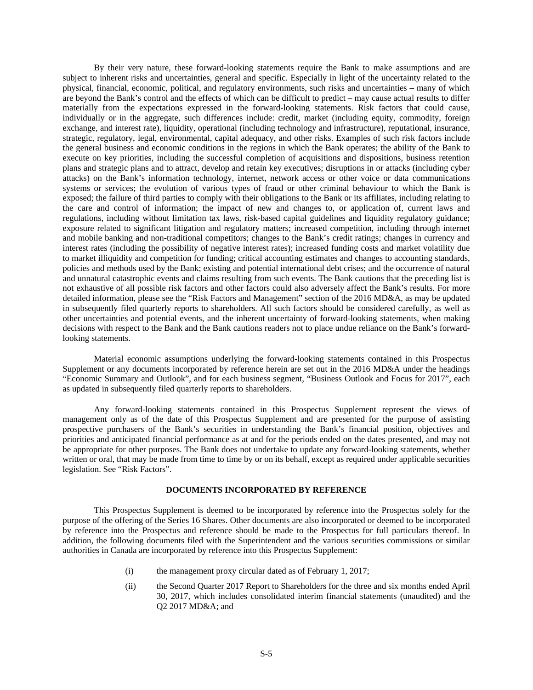By their very nature, these forward-looking statements require the Bank to make assumptions and are subject to inherent risks and uncertainties, general and specific. Especially in light of the uncertainty related to the physical, financial, economic, political, and regulatory environments, such risks and uncertainties – many of which are beyond the Bank's control and the effects of which can be difficult to predict – may cause actual results to differ materially from the expectations expressed in the forward-looking statements. Risk factors that could cause, individually or in the aggregate, such differences include: credit, market (including equity, commodity, foreign exchange, and interest rate), liquidity, operational (including technology and infrastructure), reputational, insurance, strategic, regulatory, legal, environmental, capital adequacy, and other risks. Examples of such risk factors include the general business and economic conditions in the regions in which the Bank operates; the ability of the Bank to execute on key priorities, including the successful completion of acquisitions and dispositions, business retention plans and strategic plans and to attract, develop and retain key executives; disruptions in or attacks (including cyber attacks) on the Bank's information technology, internet, network access or other voice or data communications systems or services; the evolution of various types of fraud or other criminal behaviour to which the Bank is exposed; the failure of third parties to comply with their obligations to the Bank or its affiliates, including relating to the care and control of information; the impact of new and changes to, or application of, current laws and regulations, including without limitation tax laws, risk-based capital guidelines and liquidity regulatory guidance; exposure related to significant litigation and regulatory matters; increased competition, including through internet and mobile banking and non-traditional competitors; changes to the Bank's credit ratings; changes in currency and interest rates (including the possibility of negative interest rates); increased funding costs and market volatility due to market illiquidity and competition for funding; critical accounting estimates and changes to accounting standards, policies and methods used by the Bank; existing and potential international debt crises; and the occurrence of natural and unnatural catastrophic events and claims resulting from such events. The Bank cautions that the preceding list is not exhaustive of all possible risk factors and other factors could also adversely affect the Bank's results. For more detailed information, please see the "Risk Factors and Management" section of the 2016 MD&A, as may be updated in subsequently filed quarterly reports to shareholders. All such factors should be considered carefully, as well as other uncertainties and potential events, and the inherent uncertainty of forward-looking statements, when making decisions with respect to the Bank and the Bank cautions readers not to place undue reliance on the Bank's forwardlooking statements.

Material economic assumptions underlying the forward-looking statements contained in this Prospectus Supplement or any documents incorporated by reference herein are set out in the 2016 MD&A under the headings "Economic Summary and Outlook", and for each business segment, "Business Outlook and Focus for 2017", each as updated in subsequently filed quarterly reports to shareholders.

Any forward-looking statements contained in this Prospectus Supplement represent the views of management only as of the date of this Prospectus Supplement and are presented for the purpose of assisting prospective purchasers of the Bank's securities in understanding the Bank's financial position, objectives and priorities and anticipated financial performance as at and for the periods ended on the dates presented, and may not be appropriate for other purposes. The Bank does not undertake to update any forward-looking statements, whether written or oral, that may be made from time to time by or on its behalf, except as required under applicable securities legislation. See "Risk Factors".

#### **DOCUMENTS INCORPORATED BY REFERENCE**

This Prospectus Supplement is deemed to be incorporated by reference into the Prospectus solely for the purpose of the offering of the Series 16 Shares. Other documents are also incorporated or deemed to be incorporated by reference into the Prospectus and reference should be made to the Prospectus for full particulars thereof. In addition, the following documents filed with the Superintendent and the various securities commissions or similar authorities in Canada are incorporated by reference into this Prospectus Supplement:

- (i) the management proxy circular dated as of February 1, 2017;
- (ii) the Second Quarter 2017 Report to Shareholders for the three and six months ended April 30, 2017, which includes consolidated interim financial statements (unaudited) and the Q2 2017 MD&A; and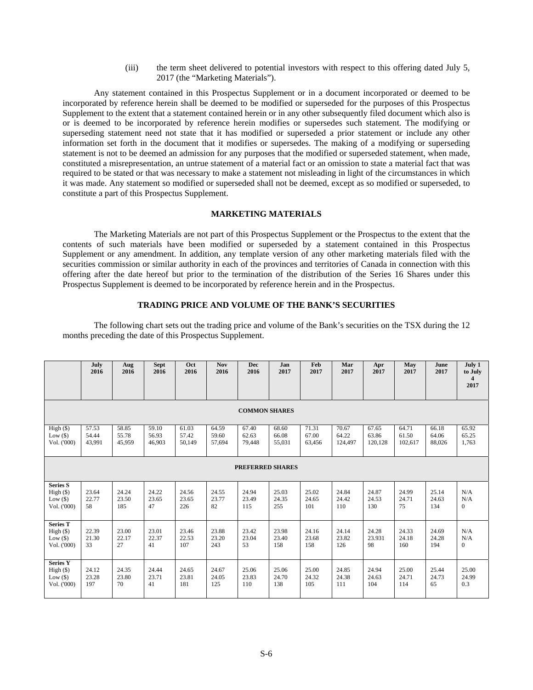(iii) the term sheet delivered to potential investors with respect to this offering dated July 5, 2017 (the "Marketing Materials").

Any statement contained in this Prospectus Supplement or in a document incorporated or deemed to be incorporated by reference herein shall be deemed to be modified or superseded for the purposes of this Prospectus Supplement to the extent that a statement contained herein or in any other subsequently filed document which also is or is deemed to be incorporated by reference herein modifies or supersedes such statement. The modifying or superseding statement need not state that it has modified or superseded a prior statement or include any other information set forth in the document that it modifies or supersedes. The making of a modifying or superseding statement is not to be deemed an admission for any purposes that the modified or superseded statement, when made, constituted a misrepresentation, an untrue statement of a material fact or an omission to state a material fact that was required to be stated or that was necessary to make a statement not misleading in light of the circumstances in which it was made. Any statement so modified or superseded shall not be deemed, except as so modified or superseded, to constitute a part of this Prospectus Supplement.

#### **MARKETING MATERIALS**

The Marketing Materials are not part of this Prospectus Supplement or the Prospectus to the extent that the contents of such materials have been modified or superseded by a statement contained in this Prospectus Supplement or any amendment. In addition, any template version of any other marketing materials filed with the securities commission or similar authority in each of the provinces and territories of Canada in connection with this offering after the date hereof but prior to the termination of the distribution of the Series 16 Shares under this Prospectus Supplement is deemed to be incorporated by reference herein and in the Prospectus.

## **TRADING PRICE AND VOLUME OF THE BANK'S SECURITIES**

The following chart sets out the trading price and volume of the Bank's securities on the TSX during the 12 months preceding the date of this Prospectus Supplement.

|                                                             | July<br>2016             | Aug<br>2016              | <b>Sept</b><br>2016      | Oct<br>2016              | <b>Nov</b><br>2016       | Dec<br>2016              | Jan<br>2017              | Feb<br>2017              | Mar<br>2017               | Apr<br>2017               | May<br>2017               | June<br>2017             | July 1<br>to July<br>4<br>2017 |
|-------------------------------------------------------------|--------------------------|--------------------------|--------------------------|--------------------------|--------------------------|--------------------------|--------------------------|--------------------------|---------------------------|---------------------------|---------------------------|--------------------------|--------------------------------|
| <b>COMMON SHARES</b>                                        |                          |                          |                          |                          |                          |                          |                          |                          |                           |                           |                           |                          |                                |
| High (\$)<br>Low $(\$)$<br>Vol. ('000)                      | 57.53<br>54.44<br>43.991 | 58.85<br>55.78<br>45.959 | 59.10<br>56.93<br>46.903 | 61.03<br>57.42<br>50.149 | 64.59<br>59.60<br>57.694 | 67.40<br>62.63<br>79.448 | 68.60<br>66.08<br>55,031 | 71.31<br>67.00<br>63,456 | 70.67<br>64.22<br>124,497 | 67.65<br>63.86<br>120.128 | 64.71<br>61.50<br>102,617 | 66.18<br>64.06<br>88,026 | 65.92<br>65.25<br>1,763        |
| <b>PREFERRED SHARES</b>                                     |                          |                          |                          |                          |                          |                          |                          |                          |                           |                           |                           |                          |                                |
| <b>Series S</b><br>High $(\$)$<br>Low $(\$)$<br>Vol. ('000) | 23.64<br>22.77<br>58     | 24.24<br>23.50<br>185    | 24.22<br>23.65<br>47     | 24.56<br>23.65<br>226    | 24.55<br>23.77<br>82     | 24.94<br>23.49<br>115    | 25.03<br>24.35<br>255    | 25.02<br>24.65<br>101    | 24.84<br>24.42<br>110     | 24.87<br>24.53<br>130     | 24.99<br>24.71<br>75      | 25.14<br>24.63<br>134    | N/A<br>N/A<br>$\mathbf{0}$     |
| <b>Series T</b><br>High $(\$)$<br>Low $(\$)$<br>Vol. ('000) | 22.39<br>21.30<br>33     | 23.00<br>22.17<br>27     | 23.01<br>22.37<br>41     | 23.46<br>22.53<br>107    | 23.88<br>23.20<br>243    | 23.42<br>23.04<br>53     | 23.98<br>23.40<br>158    | 24.16<br>23.68<br>158    | 24.14<br>23.82<br>126     | 24.28<br>23.931<br>98     | 24.33<br>24.18<br>160     | 24.69<br>24.28<br>194    | N/A<br>N/A<br>$\mathbf{0}$     |
| <b>Series Y</b><br>High (\$)<br>Low $(\$)$<br>Vol. ('000)   | 24.12<br>23.28<br>197    | 24.35<br>23.80<br>70     | 24.44<br>23.71<br>41     | 24.65<br>23.81<br>181    | 24.67<br>24.05<br>125    | 25.06<br>23.83<br>110    | 25.06<br>24.70<br>138    | 25.00<br>24.32<br>105    | 24.85<br>24.38<br>111     | 24.94<br>24.63<br>104     | 25.00<br>24.71<br>114     | 25.44<br>24.73<br>65     | 25.00<br>24.99<br>0.3          |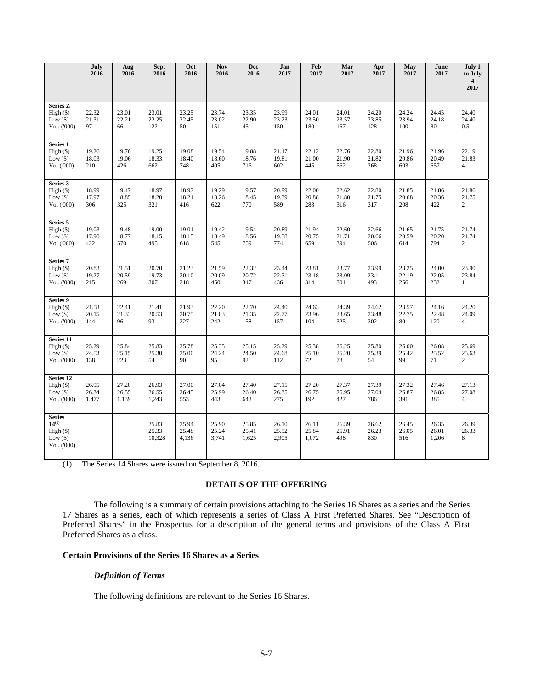|                                                                       | July<br>2016            | Aug<br>2016             | <b>Sept</b><br>2016      | Oct<br>2016             | Nov<br>2016             | Dec<br>2016             | Jan<br>2017             | Feb<br>2017             | Mar<br>2017           | Apr<br>2017           | <b>May</b><br>2017    | June<br>2017            | July 1<br>to July<br>$\overline{\mathbf{4}}$ |
|-----------------------------------------------------------------------|-------------------------|-------------------------|--------------------------|-------------------------|-------------------------|-------------------------|-------------------------|-------------------------|-----------------------|-----------------------|-----------------------|-------------------------|----------------------------------------------|
|                                                                       |                         |                         |                          |                         |                         |                         |                         |                         |                       |                       |                       |                         | 2017                                         |
| Series Z<br>High (\$)<br>Low $(\$)$<br>Vol. ('000)                    | 22.32<br>21.31<br>97    | 23.01<br>22.21<br>66    | 23.01<br>22.25<br>122    | 23.25<br>22.45<br>50    | 23.74<br>23.02<br>151   | 23.35<br>22.90<br>45    | 23.99<br>23.23<br>150   | 24.01<br>23.50<br>180   | 24.01<br>23.57<br>167 | 24.20<br>23.85<br>128 | 24.24<br>23.94<br>100 | 24.45<br>24.18<br>80    | 24.40<br>24.40<br>0.5                        |
| Series 1<br>High(\$)<br>Low $($ )<br>Vol ('000)                       | 19.26<br>18.03<br>210   | 19.76<br>19.06<br>426   | 19.25<br>18.33<br>662    | 19.08<br>18.40<br>748   | 19.54<br>18.60<br>405   | 19.88<br>18.76<br>716   | 21.17<br>19.81<br>602   | 22.12<br>21.00<br>445   | 22.76<br>21.90<br>562 | 22.80<br>21.82<br>268 | 21.96<br>20.86<br>603 | 21.96<br>20.49<br>657   | 22.19<br>21.83<br>$\overline{4}$             |
| Series 3<br>High (\$)<br>Low $(\$)$<br>Vol ('000)                     | 18.99<br>17.97<br>306   | 19.47<br>18.85<br>325   | 18.97<br>18.20<br>321    | 18.97<br>18.21<br>416   | 19.29<br>18.26<br>622   | 19.57<br>18.45<br>770   | 20.99<br>19.39<br>589   | 22.00<br>20.88<br>288   | 22.62<br>21.80<br>316 | 22.80<br>21.75<br>317 | 21.85<br>20.68<br>208 | 21.86<br>20.36<br>422   | 21.86<br>21.75<br>2                          |
| Series 5<br>High (\$)<br>Low $(\$)$<br>Vol ('000)                     | 19.03<br>17.90<br>422   | 19.48<br>18.77<br>570   | 19.00<br>18.15<br>495    | 19.01<br>18.15<br>618   | 19.42<br>18.49<br>545   | 19.54<br>18.56<br>759   | 20.89<br>19.38<br>774   | 21.94<br>20.75<br>659   | 22.60<br>21.71<br>394 | 22.66<br>20.66<br>506 | 21.65<br>20.59<br>614 | 21.75<br>20.20<br>794   | 21.74<br>21.74<br>$\overline{2}$             |
| <b>Series 7</b><br>High (\$)<br>Low $(\$)$<br>Vol. ('000)             | 20.83<br>19.27<br>215   | 21.51<br>20.59<br>269   | 20.70<br>19.73<br>307    | 21.23<br>20.10<br>218   | 21.59<br>20.09<br>450   | 22.32<br>20.72<br>347   | 23.44<br>22.31<br>436   | 23.81<br>23.18<br>314   | 23.77<br>23.09<br>301 | 23.99<br>23.11<br>493 | 23.25<br>22.19<br>256 | 24.00<br>22.05<br>232   | 23.90<br>23.84<br>$\mathbf{1}$               |
| Series 9<br>High (\$)<br>Low $(\$)$<br>Vol. ('000)                    | 21.58<br>20.15<br>144   | 22.41<br>21.33<br>96    | 21.41<br>20.53<br>93     | 21.93<br>20.75<br>227   | 22.20<br>21.03<br>242   | 22.70<br>21.35<br>158   | 24.40<br>22.77<br>157   | 24.63<br>23.96<br>104   | 24.39<br>23.65<br>325 | 24.62<br>23.48<br>302 | 23.57<br>22.75<br>80  | 24.16<br>22.48<br>120   | 24.20<br>24.09<br>$\overline{4}$             |
| Series 11<br>High (\$)<br>Low $(\$)$<br>Vol. ('000)                   | 25.29<br>24.53<br>138   | 25.84<br>25.15<br>223   | 25.83<br>25.30<br>54     | 25.78<br>25.00<br>90    | 25.35<br>24.24<br>95    | 25.15<br>24.50<br>92    | 25.29<br>24.68<br>112   | 25.38<br>25.10<br>72    | 26.25<br>25.20<br>78  | 25.80<br>25.39<br>54  | 26.00<br>25.42<br>99  | 26.08<br>25.52<br>71    | 25.69<br>25.63<br>$\overline{2}$             |
| Series 12<br>High (\$)<br>Low $(\$)$<br>Vol. ('000)                   | 26.95<br>26.34<br>1,477 | 27.20<br>26.55<br>1,139 | 26.93<br>26.55<br>1,243  | 27.00<br>26.45<br>553   | 27.04<br>25.99<br>443   | 27.40<br>26.40<br>643   | 27.15<br>26.35<br>275   | 27.20<br>26.75<br>192   | 27.37<br>26.95<br>427 | 27.39<br>27.04<br>786 | 27.32<br>26.87<br>391 | 27.46<br>26.85<br>385   | 27.13<br>27.08<br>$\overline{4}$             |
| <b>Series</b><br>$14^{(1)}$<br>High (\$)<br>Low $(\$)$<br>Vol. ('000) |                         |                         | 25.83<br>25.33<br>10,328 | 25.94<br>25.48<br>4,136 | 25.90<br>25.24<br>3,741 | 25.85<br>25.41<br>1,625 | 26.10<br>25.52<br>2,905 | 26.11<br>25.84<br>1,072 | 26.39<br>25.91<br>498 | 26.62<br>26.23<br>830 | 26.45<br>26.05<br>516 | 26.35<br>26.01<br>1,206 | 26.39<br>26.33<br>8                          |

(1) The Series 14 Shares were issued on September 8, 2016.

## **DETAILS OF THE OFFERING**

The following is a summary of certain provisions attaching to the Series 16 Shares as a series and the Series 17 Shares as a series, each of which represents a series of Class A First Preferred Shares. See "Description of Preferred Shares" in the Prospectus for a description of the general terms and provisions of the Class A First Preferred Shares as a class.

## **Certain Provisions of the Series 16 Shares as a Series**

# *Definition of Terms*

The following definitions are relevant to the Series 16 Shares.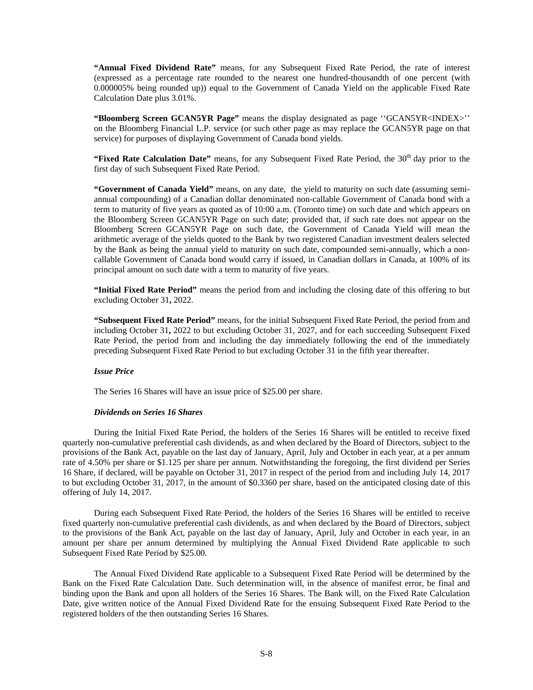**"Annual Fixed Dividend Rate"** means, for any Subsequent Fixed Rate Period, the rate of interest (expressed as a percentage rate rounded to the nearest one hundred-thousandth of one percent (with 0.000005% being rounded up)) equal to the Government of Canada Yield on the applicable Fixed Rate Calculation Date plus 3.01%.

**"Bloomberg Screen GCAN5YR Page"** means the display designated as page ''GCAN5YR<INDEX>'' on the Bloomberg Financial L.P. service (or such other page as may replace the GCAN5YR page on that service) for purposes of displaying Government of Canada bond yields.

"Fixed Rate Calculation Date" means, for any Subsequent Fixed Rate Period, the 30<sup>th</sup> day prior to the first day of such Subsequent Fixed Rate Period.

**"Government of Canada Yield"** means, on any date, the yield to maturity on such date (assuming semiannual compounding) of a Canadian dollar denominated non-callable Government of Canada bond with a term to maturity of five years as quoted as of 10:00 a.m. (Toronto time) on such date and which appears on the Bloomberg Screen GCAN5YR Page on such date; provided that, if such rate does not appear on the Bloomberg Screen GCAN5YR Page on such date, the Government of Canada Yield will mean the arithmetic average of the yields quoted to the Bank by two registered Canadian investment dealers selected by the Bank as being the annual yield to maturity on such date, compounded semi-annually, which a noncallable Government of Canada bond would carry if issued, in Canadian dollars in Canada, at 100% of its principal amount on such date with a term to maturity of five years.

**"Initial Fixed Rate Period"** means the period from and including the closing date of this offering to but excluding October 31**,** 2022.

**"Subsequent Fixed Rate Period"** means, for the initial Subsequent Fixed Rate Period, the period from and including October 31**,** 2022 to but excluding October 31, 2027, and for each succeeding Subsequent Fixed Rate Period, the period from and including the day immediately following the end of the immediately preceding Subsequent Fixed Rate Period to but excluding October 31 in the fifth year thereafter.

## *Issue Price*

The Series 16 Shares will have an issue price of \$25.00 per share.

### *Dividends on Series 16 Shares*

During the Initial Fixed Rate Period, the holders of the Series 16 Shares will be entitled to receive fixed quarterly non-cumulative preferential cash dividends, as and when declared by the Board of Directors, subject to the provisions of the Bank Act, payable on the last day of January, April, July and October in each year, at a per annum rate of 4.50% per share or \$1.125 per share per annum. Notwithstanding the foregoing, the first dividend per Series 16 Share, if declared, will be payable on October 31, 2017 in respect of the period from and including July 14, 2017 to but excluding October 31, 2017, in the amount of \$0.3360 per share, based on the anticipated closing date of this offering of July 14, 2017.

During each Subsequent Fixed Rate Period, the holders of the Series 16 Shares will be entitled to receive fixed quarterly non-cumulative preferential cash dividends, as and when declared by the Board of Directors, subject to the provisions of the Bank Act, payable on the last day of January, April, July and October in each year, in an amount per share per annum determined by multiplying the Annual Fixed Dividend Rate applicable to such Subsequent Fixed Rate Period by \$25.00.

The Annual Fixed Dividend Rate applicable to a Subsequent Fixed Rate Period will be determined by the Bank on the Fixed Rate Calculation Date. Such determination will, in the absence of manifest error, be final and binding upon the Bank and upon all holders of the Series 16 Shares. The Bank will, on the Fixed Rate Calculation Date, give written notice of the Annual Fixed Dividend Rate for the ensuing Subsequent Fixed Rate Period to the registered holders of the then outstanding Series 16 Shares.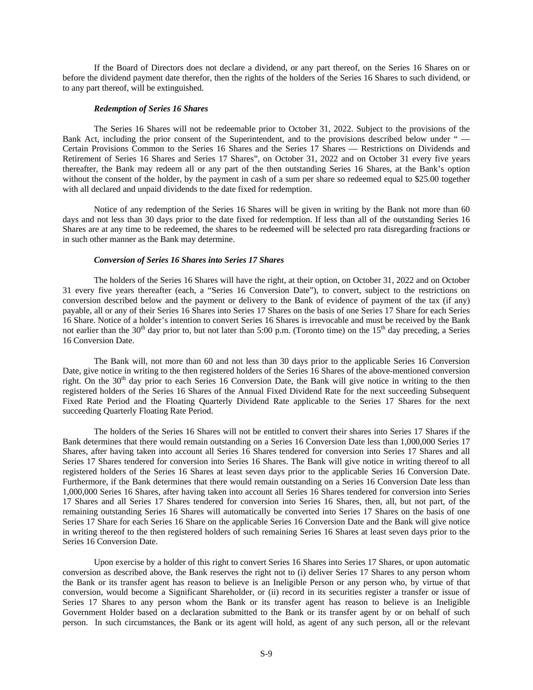If the Board of Directors does not declare a dividend, or any part thereof, on the Series 16 Shares on or before the dividend payment date therefor, then the rights of the holders of the Series 16 Shares to such dividend, or to any part thereof, will be extinguished.

#### *Redemption of Series 16 Shares*

The Series 16 Shares will not be redeemable prior to October 31, 2022. Subject to the provisions of the Bank Act, including the prior consent of the Superintendent, and to the provisions described below under " — Certain Provisions Common to the Series 16 Shares and the Series 17 Shares — Restrictions on Dividends and Retirement of Series 16 Shares and Series 17 Shares", on October 31, 2022 and on October 31 every five years thereafter, the Bank may redeem all or any part of the then outstanding Series 16 Shares, at the Bank's option without the consent of the holder, by the payment in cash of a sum per share so redeemed equal to \$25.00 together with all declared and unpaid dividends to the date fixed for redemption.

Notice of any redemption of the Series 16 Shares will be given in writing by the Bank not more than 60 days and not less than 30 days prior to the date fixed for redemption. If less than all of the outstanding Series 16 Shares are at any time to be redeemed, the shares to be redeemed will be selected pro rata disregarding fractions or in such other manner as the Bank may determine.

### *Conversion of Series 16 Shares into Series 17 Shares*

The holders of the Series 16 Shares will have the right, at their option, on October 31, 2022 and on October 31 every five years thereafter (each, a "Series 16 Conversion Date"), to convert, subject to the restrictions on conversion described below and the payment or delivery to the Bank of evidence of payment of the tax (if any) payable, all or any of their Series 16 Shares into Series 17 Shares on the basis of one Series 17 Share for each Series 16 Share. Notice of a holder's intention to convert Series 16 Shares is irrevocable and must be received by the Bank not earlier than the  $30<sup>th</sup>$  day prior to, but not later than 5:00 p.m. (Toronto time) on the  $15<sup>th</sup>$  day preceding, a Series 16 Conversion Date.

The Bank will, not more than 60 and not less than 30 days prior to the applicable Series 16 Conversion Date, give notice in writing to the then registered holders of the Series 16 Shares of the above-mentioned conversion right. On the  $30<sup>th</sup>$  day prior to each Series 16 Conversion Date, the Bank will give notice in writing to the then registered holders of the Series 16 Shares of the Annual Fixed Dividend Rate for the next succeeding Subsequent Fixed Rate Period and the Floating Quarterly Dividend Rate applicable to the Series 17 Shares for the next succeeding Quarterly Floating Rate Period.

The holders of the Series 16 Shares will not be entitled to convert their shares into Series 17 Shares if the Bank determines that there would remain outstanding on a Series 16 Conversion Date less than 1,000,000 Series 17 Shares, after having taken into account all Series 16 Shares tendered for conversion into Series 17 Shares and all Series 17 Shares tendered for conversion into Series 16 Shares. The Bank will give notice in writing thereof to all registered holders of the Series 16 Shares at least seven days prior to the applicable Series 16 Conversion Date. Furthermore, if the Bank determines that there would remain outstanding on a Series 16 Conversion Date less than 1,000,000 Series 16 Shares, after having taken into account all Series 16 Shares tendered for conversion into Series 17 Shares and all Series 17 Shares tendered for conversion into Series 16 Shares, then, all, but not part, of the remaining outstanding Series 16 Shares will automatically be converted into Series 17 Shares on the basis of one Series 17 Share for each Series 16 Share on the applicable Series 16 Conversion Date and the Bank will give notice in writing thereof to the then registered holders of such remaining Series 16 Shares at least seven days prior to the Series 16 Conversion Date.

Upon exercise by a holder of this right to convert Series 16 Shares into Series 17 Shares, or upon automatic conversion as described above, the Bank reserves the right not to (i) deliver Series 17 Shares to any person whom the Bank or its transfer agent has reason to believe is an Ineligible Person or any person who, by virtue of that conversion, would become a Significant Shareholder, or (ii) record in its securities register a transfer or issue of Series 17 Shares to any person whom the Bank or its transfer agent has reason to believe is an Ineligible Government Holder based on a declaration submitted to the Bank or its transfer agent by or on behalf of such person. In such circumstances, the Bank or its agent will hold, as agent of any such person, all or the relevant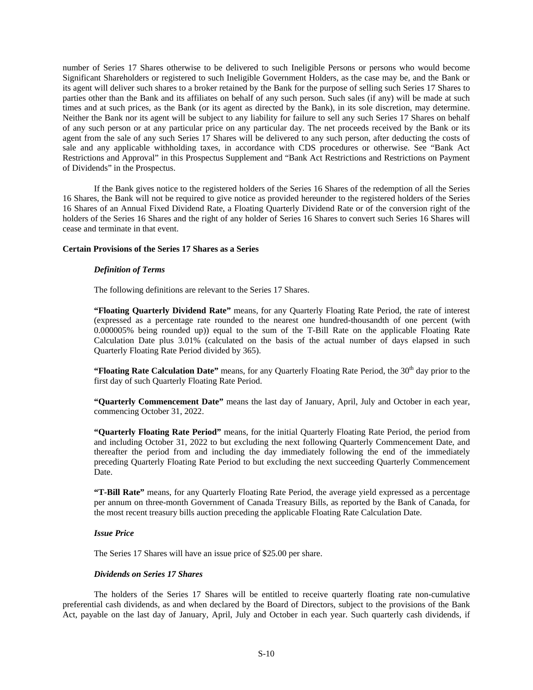number of Series 17 Shares otherwise to be delivered to such Ineligible Persons or persons who would become Significant Shareholders or registered to such Ineligible Government Holders, as the case may be, and the Bank or its agent will deliver such shares to a broker retained by the Bank for the purpose of selling such Series 17 Shares to parties other than the Bank and its affiliates on behalf of any such person. Such sales (if any) will be made at such times and at such prices, as the Bank (or its agent as directed by the Bank), in its sole discretion, may determine. Neither the Bank nor its agent will be subject to any liability for failure to sell any such Series 17 Shares on behalf of any such person or at any particular price on any particular day. The net proceeds received by the Bank or its agent from the sale of any such Series 17 Shares will be delivered to any such person, after deducting the costs of sale and any applicable withholding taxes, in accordance with CDS procedures or otherwise. See "Bank Act Restrictions and Approval" in this Prospectus Supplement and "Bank Act Restrictions and Restrictions on Payment of Dividends" in the Prospectus.

If the Bank gives notice to the registered holders of the Series 16 Shares of the redemption of all the Series 16 Shares, the Bank will not be required to give notice as provided hereunder to the registered holders of the Series 16 Shares of an Annual Fixed Dividend Rate, a Floating Quarterly Dividend Rate or of the conversion right of the holders of the Series 16 Shares and the right of any holder of Series 16 Shares to convert such Series 16 Shares will cease and terminate in that event.

## **Certain Provisions of the Series 17 Shares as a Series**

### *Definition of Terms*

The following definitions are relevant to the Series 17 Shares.

**"Floating Quarterly Dividend Rate"** means, for any Quarterly Floating Rate Period, the rate of interest (expressed as a percentage rate rounded to the nearest one hundred-thousandth of one percent (with 0.000005% being rounded up)) equal to the sum of the T-Bill Rate on the applicable Floating Rate Calculation Date plus 3.01% (calculated on the basis of the actual number of days elapsed in such Quarterly Floating Rate Period divided by 365).

**"Floating Rate Calculation Date"** means, for any Quarterly Floating Rate Period, the 30<sup>th</sup> day prior to the first day of such Quarterly Floating Rate Period.

**"Quarterly Commencement Date"** means the last day of January, April, July and October in each year, commencing October 31, 2022.

**"Quarterly Floating Rate Period"** means, for the initial Quarterly Floating Rate Period, the period from and including October 31, 2022 to but excluding the next following Quarterly Commencement Date, and thereafter the period from and including the day immediately following the end of the immediately preceding Quarterly Floating Rate Period to but excluding the next succeeding Quarterly Commencement Date.

**"T-Bill Rate"** means, for any Quarterly Floating Rate Period, the average yield expressed as a percentage per annum on three-month Government of Canada Treasury Bills, as reported by the Bank of Canada, for the most recent treasury bills auction preceding the applicable Floating Rate Calculation Date.

## *Issue Price*

The Series 17 Shares will have an issue price of \$25.00 per share.

## *Dividends on Series 17 Shares*

The holders of the Series 17 Shares will be entitled to receive quarterly floating rate non-cumulative preferential cash dividends, as and when declared by the Board of Directors, subject to the provisions of the Bank Act, payable on the last day of January, April, July and October in each year. Such quarterly cash dividends, if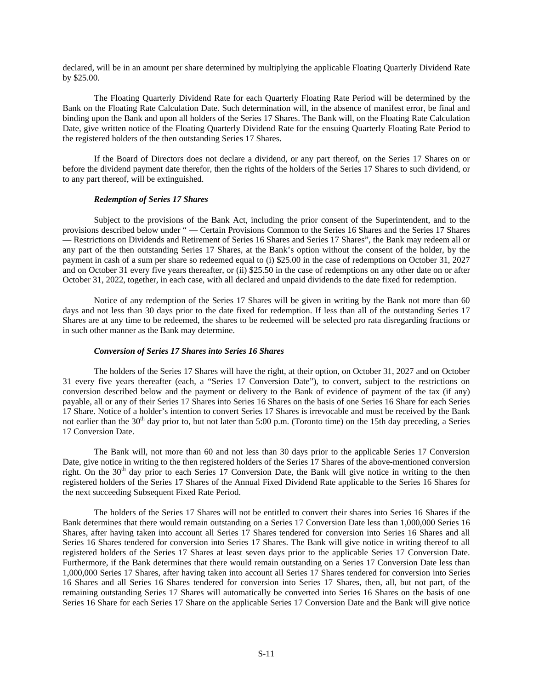declared, will be in an amount per share determined by multiplying the applicable Floating Quarterly Dividend Rate by \$25.00.

The Floating Quarterly Dividend Rate for each Quarterly Floating Rate Period will be determined by the Bank on the Floating Rate Calculation Date. Such determination will, in the absence of manifest error, be final and binding upon the Bank and upon all holders of the Series 17 Shares. The Bank will, on the Floating Rate Calculation Date, give written notice of the Floating Quarterly Dividend Rate for the ensuing Quarterly Floating Rate Period to the registered holders of the then outstanding Series 17 Shares.

If the Board of Directors does not declare a dividend, or any part thereof, on the Series 17 Shares on or before the dividend payment date therefor, then the rights of the holders of the Series 17 Shares to such dividend, or to any part thereof, will be extinguished.

### *Redemption of Series 17 Shares*

Subject to the provisions of the Bank Act, including the prior consent of the Superintendent, and to the provisions described below under " — Certain Provisions Common to the Series 16 Shares and the Series 17 Shares — Restrictions on Dividends and Retirement of Series 16 Shares and Series 17 Shares", the Bank may redeem all or any part of the then outstanding Series 17 Shares, at the Bank's option without the consent of the holder, by the payment in cash of a sum per share so redeemed equal to (i) \$25.00 in the case of redemptions on October 31, 2027 and on October 31 every five years thereafter, or (ii) \$25.50 in the case of redemptions on any other date on or after October 31, 2022, together, in each case, with all declared and unpaid dividends to the date fixed for redemption.

Notice of any redemption of the Series 17 Shares will be given in writing by the Bank not more than 60 days and not less than 30 days prior to the date fixed for redemption. If less than all of the outstanding Series 17 Shares are at any time to be redeemed, the shares to be redeemed will be selected pro rata disregarding fractions or in such other manner as the Bank may determine.

#### *Conversion of Series 17 Shares into Series 16 Shares*

The holders of the Series 17 Shares will have the right, at their option, on October 31, 2027 and on October 31 every five years thereafter (each, a "Series 17 Conversion Date"), to convert, subject to the restrictions on conversion described below and the payment or delivery to the Bank of evidence of payment of the tax (if any) payable, all or any of their Series 17 Shares into Series 16 Shares on the basis of one Series 16 Share for each Series 17 Share. Notice of a holder's intention to convert Series 17 Shares is irrevocable and must be received by the Bank not earlier than the  $30<sup>th</sup>$  day prior to, but not later than 5:00 p.m. (Toronto time) on the 15th day preceding, a Series 17 Conversion Date.

The Bank will, not more than 60 and not less than 30 days prior to the applicable Series 17 Conversion Date, give notice in writing to the then registered holders of the Series 17 Shares of the above-mentioned conversion right. On the  $30<sup>th</sup>$  day prior to each Series 17 Conversion Date, the Bank will give notice in writing to the then registered holders of the Series 17 Shares of the Annual Fixed Dividend Rate applicable to the Series 16 Shares for the next succeeding Subsequent Fixed Rate Period.

The holders of the Series 17 Shares will not be entitled to convert their shares into Series 16 Shares if the Bank determines that there would remain outstanding on a Series 17 Conversion Date less than 1,000,000 Series 16 Shares, after having taken into account all Series 17 Shares tendered for conversion into Series 16 Shares and all Series 16 Shares tendered for conversion into Series 17 Shares. The Bank will give notice in writing thereof to all registered holders of the Series 17 Shares at least seven days prior to the applicable Series 17 Conversion Date. Furthermore, if the Bank determines that there would remain outstanding on a Series 17 Conversion Date less than 1,000,000 Series 17 Shares, after having taken into account all Series 17 Shares tendered for conversion into Series 16 Shares and all Series 16 Shares tendered for conversion into Series 17 Shares, then, all, but not part, of the remaining outstanding Series 17 Shares will automatically be converted into Series 16 Shares on the basis of one Series 16 Share for each Series 17 Share on the applicable Series 17 Conversion Date and the Bank will give notice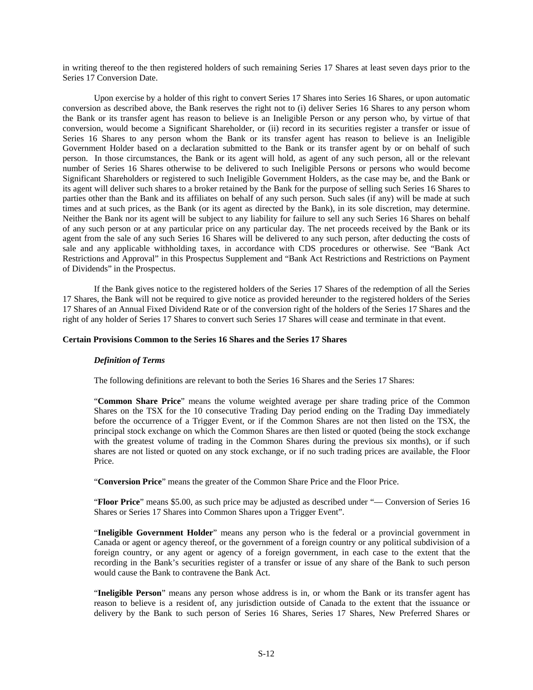in writing thereof to the then registered holders of such remaining Series 17 Shares at least seven days prior to the Series 17 Conversion Date.

Upon exercise by a holder of this right to convert Series 17 Shares into Series 16 Shares, or upon automatic conversion as described above, the Bank reserves the right not to (i) deliver Series 16 Shares to any person whom the Bank or its transfer agent has reason to believe is an Ineligible Person or any person who, by virtue of that conversion, would become a Significant Shareholder, or (ii) record in its securities register a transfer or issue of Series 16 Shares to any person whom the Bank or its transfer agent has reason to believe is an Ineligible Government Holder based on a declaration submitted to the Bank or its transfer agent by or on behalf of such person. In those circumstances, the Bank or its agent will hold, as agent of any such person, all or the relevant number of Series 16 Shares otherwise to be delivered to such Ineligible Persons or persons who would become Significant Shareholders or registered to such Ineligible Government Holders, as the case may be, and the Bank or its agent will deliver such shares to a broker retained by the Bank for the purpose of selling such Series 16 Shares to parties other than the Bank and its affiliates on behalf of any such person. Such sales (if any) will be made at such times and at such prices, as the Bank (or its agent as directed by the Bank), in its sole discretion, may determine. Neither the Bank nor its agent will be subject to any liability for failure to sell any such Series 16 Shares on behalf of any such person or at any particular price on any particular day. The net proceeds received by the Bank or its agent from the sale of any such Series 16 Shares will be delivered to any such person, after deducting the costs of sale and any applicable withholding taxes, in accordance with CDS procedures or otherwise. See "Bank Act Restrictions and Approval" in this Prospectus Supplement and "Bank Act Restrictions and Restrictions on Payment of Dividends" in the Prospectus.

If the Bank gives notice to the registered holders of the Series 17 Shares of the redemption of all the Series 17 Shares, the Bank will not be required to give notice as provided hereunder to the registered holders of the Series 17 Shares of an Annual Fixed Dividend Rate or of the conversion right of the holders of the Series 17 Shares and the right of any holder of Series 17 Shares to convert such Series 17 Shares will cease and terminate in that event.

### **Certain Provisions Common to the Series 16 Shares and the Series 17 Shares**

### *Definition of Terms*

The following definitions are relevant to both the Series 16 Shares and the Series 17 Shares:

"**Common Share Price**" means the volume weighted average per share trading price of the Common Shares on the TSX for the 10 consecutive Trading Day period ending on the Trading Day immediately before the occurrence of a Trigger Event, or if the Common Shares are not then listed on the TSX, the principal stock exchange on which the Common Shares are then listed or quoted (being the stock exchange with the greatest volume of trading in the Common Shares during the previous six months), or if such shares are not listed or quoted on any stock exchange, or if no such trading prices are available, the Floor Price.

"**Conversion Price**" means the greater of the Common Share Price and the Floor Price.

"**Floor Price**" means \$5.00, as such price may be adjusted as described under "— Conversion of Series 16 Shares or Series 17 Shares into Common Shares upon a Trigger Event".

"**Ineligible Government Holder**" means any person who is the federal or a provincial government in Canada or agent or agency thereof, or the government of a foreign country or any political subdivision of a foreign country, or any agent or agency of a foreign government, in each case to the extent that the recording in the Bank's securities register of a transfer or issue of any share of the Bank to such person would cause the Bank to contravene the Bank Act.

"**Ineligible Person**" means any person whose address is in, or whom the Bank or its transfer agent has reason to believe is a resident of, any jurisdiction outside of Canada to the extent that the issuance or delivery by the Bank to such person of Series 16 Shares, Series 17 Shares, New Preferred Shares or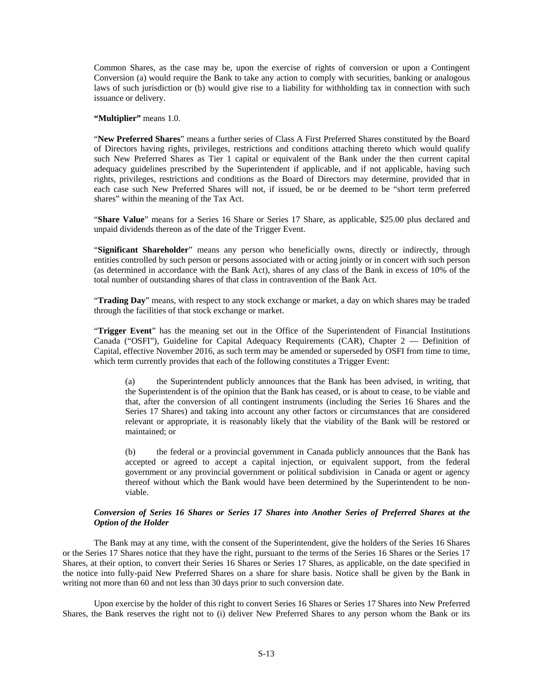Common Shares, as the case may be, upon the exercise of rights of conversion or upon a Contingent Conversion (a) would require the Bank to take any action to comply with securities, banking or analogous laws of such jurisdiction or (b) would give rise to a liability for withholding tax in connection with such issuance or delivery.

**"Multiplier"** means 1.0.

"**New Preferred Shares**" means a further series of Class A First Preferred Shares constituted by the Board of Directors having rights, privileges, restrictions and conditions attaching thereto which would qualify such New Preferred Shares as Tier 1 capital or equivalent of the Bank under the then current capital adequacy guidelines prescribed by the Superintendent if applicable, and if not applicable, having such rights, privileges, restrictions and conditions as the Board of Directors may determine, provided that in each case such New Preferred Shares will not, if issued, be or be deemed to be "short term preferred shares" within the meaning of the Tax Act.

"**Share Value**" means for a Series 16 Share or Series 17 Share, as applicable, \$25.00 plus declared and unpaid dividends thereon as of the date of the Trigger Event.

"**Significant Shareholder**" means any person who beneficially owns, directly or indirectly, through entities controlled by such person or persons associated with or acting jointly or in concert with such person (as determined in accordance with the Bank Act), shares of any class of the Bank in excess of 10% of the total number of outstanding shares of that class in contravention of the Bank Act.

"**Trading Day**" means, with respect to any stock exchange or market, a day on which shares may be traded through the facilities of that stock exchange or market.

"**Trigger Event**" has the meaning set out in the Office of the Superintendent of Financial Institutions Canada ("OSFI"), Guideline for Capital Adequacy Requirements (CAR), Chapter 2 — Definition of Capital, effective November 2016, as such term may be amended or superseded by OSFI from time to time, which term currently provides that each of the following constitutes a Trigger Event:

(a) the Superintendent publicly announces that the Bank has been advised, in writing, that the Superintendent is of the opinion that the Bank has ceased, or is about to cease, to be viable and that, after the conversion of all contingent instruments (including the Series 16 Shares and the Series 17 Shares) and taking into account any other factors or circumstances that are considered relevant or appropriate, it is reasonably likely that the viability of the Bank will be restored or maintained; or

(b) the federal or a provincial government in Canada publicly announces that the Bank has accepted or agreed to accept a capital injection, or equivalent support, from the federal government or any provincial government or political subdivision in Canada or agent or agency thereof without which the Bank would have been determined by the Superintendent to be nonviable.

## *Conversion of Series 16 Shares or Series 17 Shares into Another Series of Preferred Shares at the Option of the Holder*

The Bank may at any time, with the consent of the Superintendent, give the holders of the Series 16 Shares or the Series 17 Shares notice that they have the right, pursuant to the terms of the Series 16 Shares or the Series 17 Shares, at their option, to convert their Series 16 Shares or Series 17 Shares, as applicable, on the date specified in the notice into fully-paid New Preferred Shares on a share for share basis. Notice shall be given by the Bank in writing not more than 60 and not less than 30 days prior to such conversion date.

Upon exercise by the holder of this right to convert Series 16 Shares or Series 17 Shares into New Preferred Shares, the Bank reserves the right not to (i) deliver New Preferred Shares to any person whom the Bank or its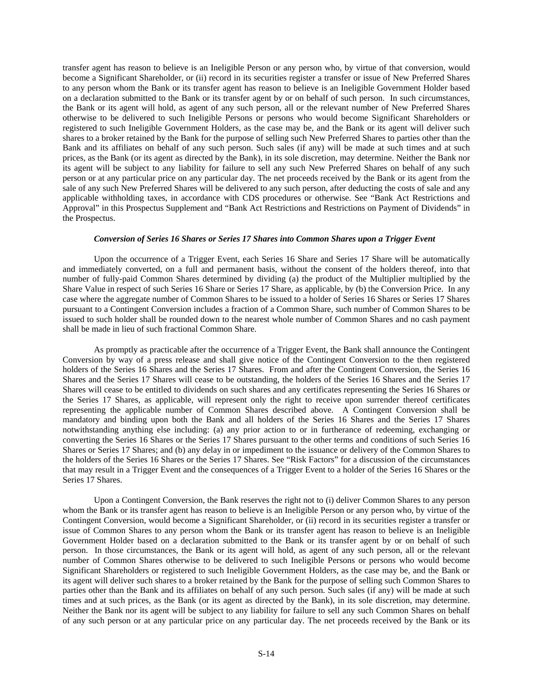transfer agent has reason to believe is an Ineligible Person or any person who, by virtue of that conversion, would become a Significant Shareholder, or (ii) record in its securities register a transfer or issue of New Preferred Shares to any person whom the Bank or its transfer agent has reason to believe is an Ineligible Government Holder based on a declaration submitted to the Bank or its transfer agent by or on behalf of such person. In such circumstances, the Bank or its agent will hold, as agent of any such person, all or the relevant number of New Preferred Shares otherwise to be delivered to such Ineligible Persons or persons who would become Significant Shareholders or registered to such Ineligible Government Holders, as the case may be, and the Bank or its agent will deliver such shares to a broker retained by the Bank for the purpose of selling such New Preferred Shares to parties other than the Bank and its affiliates on behalf of any such person. Such sales (if any) will be made at such times and at such prices, as the Bank (or its agent as directed by the Bank), in its sole discretion, may determine. Neither the Bank nor its agent will be subject to any liability for failure to sell any such New Preferred Shares on behalf of any such person or at any particular price on any particular day. The net proceeds received by the Bank or its agent from the sale of any such New Preferred Shares will be delivered to any such person, after deducting the costs of sale and any applicable withholding taxes, in accordance with CDS procedures or otherwise. See "Bank Act Restrictions and Approval" in this Prospectus Supplement and "Bank Act Restrictions and Restrictions on Payment of Dividends" in the Prospectus.

### *Conversion of Series 16 Shares or Series 17 Shares into Common Shares upon a Trigger Event*

Upon the occurrence of a Trigger Event, each Series 16 Share and Series 17 Share will be automatically and immediately converted, on a full and permanent basis, without the consent of the holders thereof, into that number of fully-paid Common Shares determined by dividing (a) the product of the Multiplier multiplied by the Share Value in respect of such Series 16 Share or Series 17 Share, as applicable, by (b) the Conversion Price. In any case where the aggregate number of Common Shares to be issued to a holder of Series 16 Shares or Series 17 Shares pursuant to a Contingent Conversion includes a fraction of a Common Share, such number of Common Shares to be issued to such holder shall be rounded down to the nearest whole number of Common Shares and no cash payment shall be made in lieu of such fractional Common Share.

As promptly as practicable after the occurrence of a Trigger Event, the Bank shall announce the Contingent Conversion by way of a press release and shall give notice of the Contingent Conversion to the then registered holders of the Series 16 Shares and the Series 17 Shares. From and after the Contingent Conversion, the Series 16 Shares and the Series 17 Shares will cease to be outstanding, the holders of the Series 16 Shares and the Series 17 Shares will cease to be entitled to dividends on such shares and any certificates representing the Series 16 Shares or the Series 17 Shares, as applicable, will represent only the right to receive upon surrender thereof certificates representing the applicable number of Common Shares described above. A Contingent Conversion shall be mandatory and binding upon both the Bank and all holders of the Series 16 Shares and the Series 17 Shares notwithstanding anything else including: (a) any prior action to or in furtherance of redeeming, exchanging or converting the Series 16 Shares or the Series 17 Shares pursuant to the other terms and conditions of such Series 16 Shares or Series 17 Shares; and (b) any delay in or impediment to the issuance or delivery of the Common Shares to the holders of the Series 16 Shares or the Series 17 Shares. See "Risk Factors" for a discussion of the circumstances that may result in a Trigger Event and the consequences of a Trigger Event to a holder of the Series 16 Shares or the Series 17 Shares.

Upon a Contingent Conversion, the Bank reserves the right not to (i) deliver Common Shares to any person whom the Bank or its transfer agent has reason to believe is an Ineligible Person or any person who, by virtue of the Contingent Conversion, would become a Significant Shareholder, or (ii) record in its securities register a transfer or issue of Common Shares to any person whom the Bank or its transfer agent has reason to believe is an Ineligible Government Holder based on a declaration submitted to the Bank or its transfer agent by or on behalf of such person. In those circumstances, the Bank or its agent will hold, as agent of any such person, all or the relevant number of Common Shares otherwise to be delivered to such Ineligible Persons or persons who would become Significant Shareholders or registered to such Ineligible Government Holders, as the case may be, and the Bank or its agent will deliver such shares to a broker retained by the Bank for the purpose of selling such Common Shares to parties other than the Bank and its affiliates on behalf of any such person. Such sales (if any) will be made at such times and at such prices, as the Bank (or its agent as directed by the Bank), in its sole discretion, may determine. Neither the Bank nor its agent will be subject to any liability for failure to sell any such Common Shares on behalf of any such person or at any particular price on any particular day. The net proceeds received by the Bank or its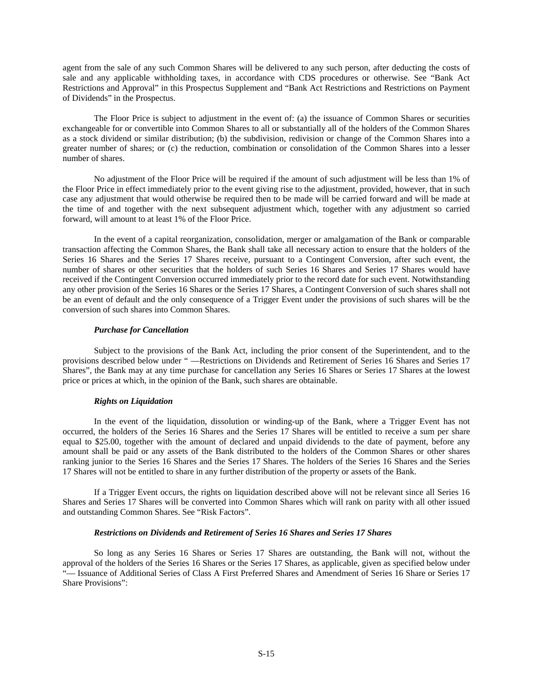agent from the sale of any such Common Shares will be delivered to any such person, after deducting the costs of sale and any applicable withholding taxes, in accordance with CDS procedures or otherwise. See "Bank Act Restrictions and Approval" in this Prospectus Supplement and "Bank Act Restrictions and Restrictions on Payment of Dividends" in the Prospectus.

The Floor Price is subject to adjustment in the event of: (a) the issuance of Common Shares or securities exchangeable for or convertible into Common Shares to all or substantially all of the holders of the Common Shares as a stock dividend or similar distribution; (b) the subdivision, redivision or change of the Common Shares into a greater number of shares; or (c) the reduction, combination or consolidation of the Common Shares into a lesser number of shares.

No adjustment of the Floor Price will be required if the amount of such adjustment will be less than 1% of the Floor Price in effect immediately prior to the event giving rise to the adjustment, provided, however, that in such case any adjustment that would otherwise be required then to be made will be carried forward and will be made at the time of and together with the next subsequent adjustment which, together with any adjustment so carried forward, will amount to at least 1% of the Floor Price.

In the event of a capital reorganization, consolidation, merger or amalgamation of the Bank or comparable transaction affecting the Common Shares, the Bank shall take all necessary action to ensure that the holders of the Series 16 Shares and the Series 17 Shares receive, pursuant to a Contingent Conversion, after such event, the number of shares or other securities that the holders of such Series 16 Shares and Series 17 Shares would have received if the Contingent Conversion occurred immediately prior to the record date for such event. Notwithstanding any other provision of the Series 16 Shares or the Series 17 Shares, a Contingent Conversion of such shares shall not be an event of default and the only consequence of a Trigger Event under the provisions of such shares will be the conversion of such shares into Common Shares.

## *Purchase for Cancellation*

Subject to the provisions of the Bank Act, including the prior consent of the Superintendent, and to the provisions described below under " —Restrictions on Dividends and Retirement of Series 16 Shares and Series 17 Shares", the Bank may at any time purchase for cancellation any Series 16 Shares or Series 17 Shares at the lowest price or prices at which, in the opinion of the Bank, such shares are obtainable.

## *Rights on Liquidation*

In the event of the liquidation, dissolution or winding-up of the Bank, where a Trigger Event has not occurred, the holders of the Series 16 Shares and the Series 17 Shares will be entitled to receive a sum per share equal to \$25.00, together with the amount of declared and unpaid dividends to the date of payment, before any amount shall be paid or any assets of the Bank distributed to the holders of the Common Shares or other shares ranking junior to the Series 16 Shares and the Series 17 Shares. The holders of the Series 16 Shares and the Series 17 Shares will not be entitled to share in any further distribution of the property or assets of the Bank.

If a Trigger Event occurs, the rights on liquidation described above will not be relevant since all Series 16 Shares and Series 17 Shares will be converted into Common Shares which will rank on parity with all other issued and outstanding Common Shares. See "Risk Factors".

## *Restrictions on Dividends and Retirement of Series 16 Shares and Series 17 Shares*

So long as any Series 16 Shares or Series 17 Shares are outstanding, the Bank will not, without the approval of the holders of the Series 16 Shares or the Series 17 Shares, as applicable, given as specified below under "— Issuance of Additional Series of Class A First Preferred Shares and Amendment of Series 16 Share or Series 17 Share Provisions":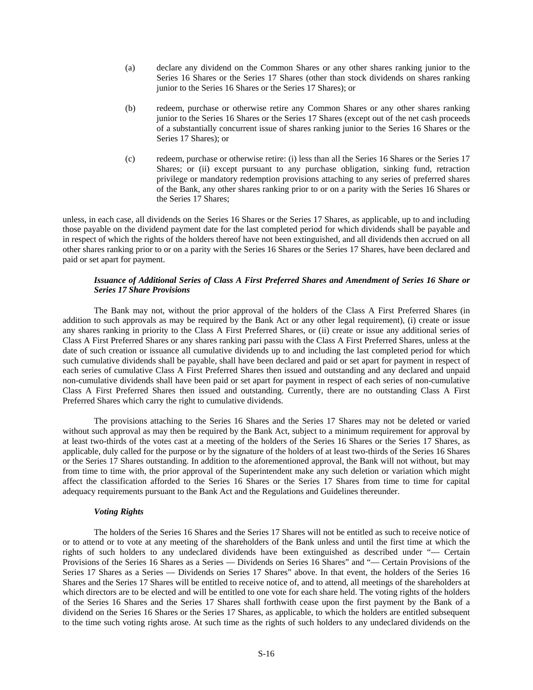- (a) declare any dividend on the Common Shares or any other shares ranking junior to the Series 16 Shares or the Series 17 Shares (other than stock dividends on shares ranking junior to the Series 16 Shares or the Series 17 Shares); or
- (b) redeem, purchase or otherwise retire any Common Shares or any other shares ranking junior to the Series 16 Shares or the Series 17 Shares (except out of the net cash proceeds of a substantially concurrent issue of shares ranking junior to the Series 16 Shares or the Series 17 Shares); or
- (c) redeem, purchase or otherwise retire: (i) less than all the Series 16 Shares or the Series 17 Shares; or (ii) except pursuant to any purchase obligation, sinking fund, retraction privilege or mandatory redemption provisions attaching to any series of preferred shares of the Bank, any other shares ranking prior to or on a parity with the Series 16 Shares or the Series 17 Shares;

unless, in each case, all dividends on the Series 16 Shares or the Series 17 Shares, as applicable, up to and including those payable on the dividend payment date for the last completed period for which dividends shall be payable and in respect of which the rights of the holders thereof have not been extinguished, and all dividends then accrued on all other shares ranking prior to or on a parity with the Series 16 Shares or the Series 17 Shares, have been declared and paid or set apart for payment.

## *Issuance of Additional Series of Class A First Preferred Shares and Amendment of Series 16 Share or Series 17 Share Provisions*

The Bank may not, without the prior approval of the holders of the Class A First Preferred Shares (in addition to such approvals as may be required by the Bank Act or any other legal requirement), (i) create or issue any shares ranking in priority to the Class A First Preferred Shares, or (ii) create or issue any additional series of Class A First Preferred Shares or any shares ranking pari passu with the Class A First Preferred Shares, unless at the date of such creation or issuance all cumulative dividends up to and including the last completed period for which such cumulative dividends shall be payable, shall have been declared and paid or set apart for payment in respect of each series of cumulative Class A First Preferred Shares then issued and outstanding and any declared and unpaid non-cumulative dividends shall have been paid or set apart for payment in respect of each series of non-cumulative Class A First Preferred Shares then issued and outstanding. Currently, there are no outstanding Class A First Preferred Shares which carry the right to cumulative dividends.

The provisions attaching to the Series 16 Shares and the Series 17 Shares may not be deleted or varied without such approval as may then be required by the Bank Act, subject to a minimum requirement for approval by at least two-thirds of the votes cast at a meeting of the holders of the Series 16 Shares or the Series 17 Shares, as applicable, duly called for the purpose or by the signature of the holders of at least two-thirds of the Series 16 Shares or the Series 17 Shares outstanding. In addition to the aforementioned approval, the Bank will not without, but may from time to time with, the prior approval of the Superintendent make any such deletion or variation which might affect the classification afforded to the Series 16 Shares or the Series 17 Shares from time to time for capital adequacy requirements pursuant to the Bank Act and the Regulations and Guidelines thereunder.

### *Voting Rights*

The holders of the Series 16 Shares and the Series 17 Shares will not be entitled as such to receive notice of or to attend or to vote at any meeting of the shareholders of the Bank unless and until the first time at which the rights of such holders to any undeclared dividends have been extinguished as described under "— Certain Provisions of the Series 16 Shares as a Series — Dividends on Series 16 Shares" and "— Certain Provisions of the Series 17 Shares as a Series — Dividends on Series 17 Shares" above. In that event, the holders of the Series 16 Shares and the Series 17 Shares will be entitled to receive notice of, and to attend, all meetings of the shareholders at which directors are to be elected and will be entitled to one vote for each share held. The voting rights of the holders of the Series 16 Shares and the Series 17 Shares shall forthwith cease upon the first payment by the Bank of a dividend on the Series 16 Shares or the Series 17 Shares, as applicable, to which the holders are entitled subsequent to the time such voting rights arose. At such time as the rights of such holders to any undeclared dividends on the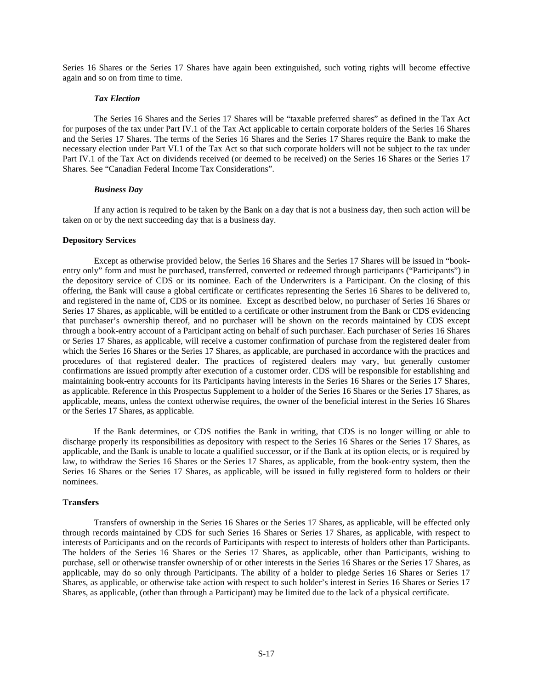Series 16 Shares or the Series 17 Shares have again been extinguished, such voting rights will become effective again and so on from time to time.

### *Tax Election*

The Series 16 Shares and the Series 17 Shares will be "taxable preferred shares" as defined in the Tax Act for purposes of the tax under Part IV.1 of the Tax Act applicable to certain corporate holders of the Series 16 Shares and the Series 17 Shares. The terms of the Series 16 Shares and the Series 17 Shares require the Bank to make the necessary election under Part VI.1 of the Tax Act so that such corporate holders will not be subject to the tax under Part IV.1 of the Tax Act on dividends received (or deemed to be received) on the Series 16 Shares or the Series 17 Shares. See "Canadian Federal Income Tax Considerations".

#### *Business Day*

If any action is required to be taken by the Bank on a day that is not a business day, then such action will be taken on or by the next succeeding day that is a business day.

#### **Depository Services**

Except as otherwise provided below, the Series 16 Shares and the Series 17 Shares will be issued in "bookentry only" form and must be purchased, transferred, converted or redeemed through participants ("Participants") in the depository service of CDS or its nominee. Each of the Underwriters is a Participant. On the closing of this offering, the Bank will cause a global certificate or certificates representing the Series 16 Shares to be delivered to, and registered in the name of, CDS or its nominee. Except as described below, no purchaser of Series 16 Shares or Series 17 Shares, as applicable, will be entitled to a certificate or other instrument from the Bank or CDS evidencing that purchaser's ownership thereof, and no purchaser will be shown on the records maintained by CDS except through a book-entry account of a Participant acting on behalf of such purchaser. Each purchaser of Series 16 Shares or Series 17 Shares, as applicable, will receive a customer confirmation of purchase from the registered dealer from which the Series 16 Shares or the Series 17 Shares, as applicable, are purchased in accordance with the practices and procedures of that registered dealer. The practices of registered dealers may vary, but generally customer confirmations are issued promptly after execution of a customer order. CDS will be responsible for establishing and maintaining book-entry accounts for its Participants having interests in the Series 16 Shares or the Series 17 Shares, as applicable. Reference in this Prospectus Supplement to a holder of the Series 16 Shares or the Series 17 Shares, as applicable, means, unless the context otherwise requires, the owner of the beneficial interest in the Series 16 Shares or the Series 17 Shares, as applicable.

If the Bank determines, or CDS notifies the Bank in writing, that CDS is no longer willing or able to discharge properly its responsibilities as depository with respect to the Series 16 Shares or the Series 17 Shares, as applicable, and the Bank is unable to locate a qualified successor, or if the Bank at its option elects, or is required by law, to withdraw the Series 16 Shares or the Series 17 Shares, as applicable, from the book-entry system, then the Series 16 Shares or the Series 17 Shares, as applicable, will be issued in fully registered form to holders or their nominees.

#### **Transfers**

Transfers of ownership in the Series 16 Shares or the Series 17 Shares, as applicable, will be effected only through records maintained by CDS for such Series 16 Shares or Series 17 Shares, as applicable, with respect to interests of Participants and on the records of Participants with respect to interests of holders other than Participants. The holders of the Series 16 Shares or the Series 17 Shares, as applicable, other than Participants, wishing to purchase, sell or otherwise transfer ownership of or other interests in the Series 16 Shares or the Series 17 Shares, as applicable, may do so only through Participants. The ability of a holder to pledge Series 16 Shares or Series 17 Shares, as applicable, or otherwise take action with respect to such holder's interest in Series 16 Shares or Series 17 Shares, as applicable, (other than through a Participant) may be limited due to the lack of a physical certificate.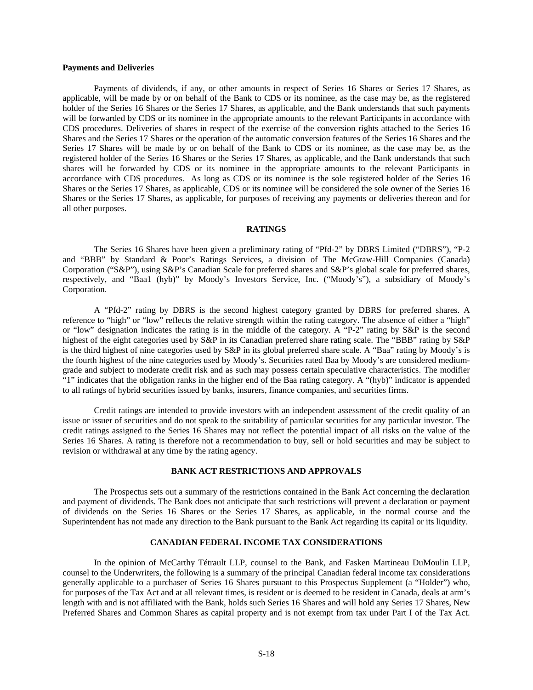### **Payments and Deliveries**

Payments of dividends, if any, or other amounts in respect of Series 16 Shares or Series 17 Shares, as applicable, will be made by or on behalf of the Bank to CDS or its nominee, as the case may be, as the registered holder of the Series 16 Shares or the Series 17 Shares, as applicable, and the Bank understands that such payments will be forwarded by CDS or its nominee in the appropriate amounts to the relevant Participants in accordance with CDS procedures. Deliveries of shares in respect of the exercise of the conversion rights attached to the Series 16 Shares and the Series 17 Shares or the operation of the automatic conversion features of the Series 16 Shares and the Series 17 Shares will be made by or on behalf of the Bank to CDS or its nominee, as the case may be, as the registered holder of the Series 16 Shares or the Series 17 Shares, as applicable, and the Bank understands that such shares will be forwarded by CDS or its nominee in the appropriate amounts to the relevant Participants in accordance with CDS procedures. As long as CDS or its nominee is the sole registered holder of the Series 16 Shares or the Series 17 Shares, as applicable, CDS or its nominee will be considered the sole owner of the Series 16 Shares or the Series 17 Shares, as applicable, for purposes of receiving any payments or deliveries thereon and for all other purposes.

### **RATINGS**

The Series 16 Shares have been given a preliminary rating of "Pfd-2" by DBRS Limited ("DBRS"), "P-2 and "BBB" by Standard & Poor's Ratings Services, a division of The McGraw-Hill Companies (Canada) Corporation ("S&P"), using S&P's Canadian Scale for preferred shares and S&P's global scale for preferred shares, respectively, and "Baa1 (hyb)" by Moody's Investors Service, Inc. ("Moody's"), a subsidiary of Moody's Corporation.

A "Pfd-2" rating by DBRS is the second highest category granted by DBRS for preferred shares. A reference to "high" or "low" reflects the relative strength within the rating category. The absence of either a "high" or "low" designation indicates the rating is in the middle of the category. A "P-2" rating by S&P is the second highest of the eight categories used by S&P in its Canadian preferred share rating scale. The "BBB" rating by S&P is the third highest of nine categories used by S&P in its global preferred share scale. A "Baa" rating by Moody's is the fourth highest of the nine categories used by Moody's. Securities rated Baa by Moody's are considered mediumgrade and subject to moderate credit risk and as such may possess certain speculative characteristics. The modifier "1" indicates that the obligation ranks in the higher end of the Baa rating category. A "(hyb)" indicator is appended to all ratings of hybrid securities issued by banks, insurers, finance companies, and securities firms.

Credit ratings are intended to provide investors with an independent assessment of the credit quality of an issue or issuer of securities and do not speak to the suitability of particular securities for any particular investor. The credit ratings assigned to the Series 16 Shares may not reflect the potential impact of all risks on the value of the Series 16 Shares. A rating is therefore not a recommendation to buy, sell or hold securities and may be subject to revision or withdrawal at any time by the rating agency.

## **BANK ACT RESTRICTIONS AND APPROVALS**

The Prospectus sets out a summary of the restrictions contained in the Bank Act concerning the declaration and payment of dividends. The Bank does not anticipate that such restrictions will prevent a declaration or payment of dividends on the Series 16 Shares or the Series 17 Shares, as applicable, in the normal course and the Superintendent has not made any direction to the Bank pursuant to the Bank Act regarding its capital or its liquidity.

## **CANADIAN FEDERAL INCOME TAX CONSIDERATIONS**

In the opinion of McCarthy Tétrault LLP, counsel to the Bank, and Fasken Martineau DuMoulin LLP, counsel to the Underwriters, the following is a summary of the principal Canadian federal income tax considerations generally applicable to a purchaser of Series 16 Shares pursuant to this Prospectus Supplement (a "Holder") who, for purposes of the Tax Act and at all relevant times, is resident or is deemed to be resident in Canada, deals at arm's length with and is not affiliated with the Bank, holds such Series 16 Shares and will hold any Series 17 Shares, New Preferred Shares and Common Shares as capital property and is not exempt from tax under Part I of the Tax Act.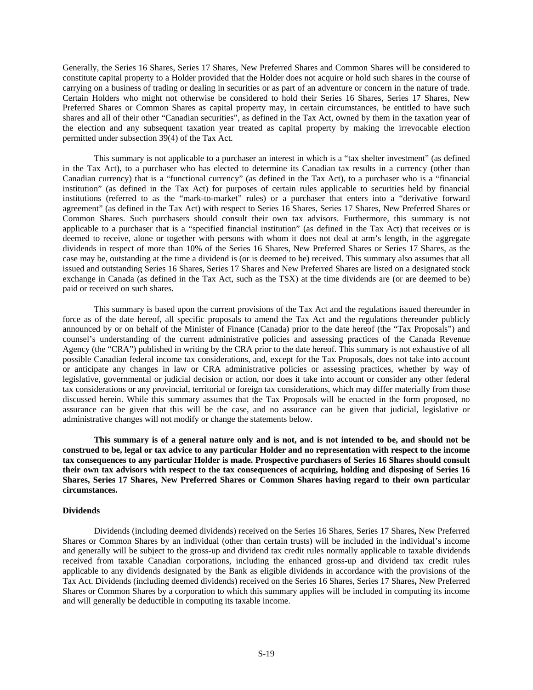Generally, the Series 16 Shares, Series 17 Shares, New Preferred Shares and Common Shares will be considered to constitute capital property to a Holder provided that the Holder does not acquire or hold such shares in the course of carrying on a business of trading or dealing in securities or as part of an adventure or concern in the nature of trade. Certain Holders who might not otherwise be considered to hold their Series 16 Shares, Series 17 Shares, New Preferred Shares or Common Shares as capital property may, in certain circumstances, be entitled to have such shares and all of their other "Canadian securities", as defined in the Tax Act, owned by them in the taxation year of the election and any subsequent taxation year treated as capital property by making the irrevocable election permitted under subsection 39(4) of the Tax Act.

This summary is not applicable to a purchaser an interest in which is a "tax shelter investment" (as defined in the Tax Act), to a purchaser who has elected to determine its Canadian tax results in a currency (other than Canadian currency) that is a "functional currency" (as defined in the Tax Act), to a purchaser who is a "financial institution" (as defined in the Tax Act) for purposes of certain rules applicable to securities held by financial institutions (referred to as the "mark-to-market" rules) or a purchaser that enters into a "derivative forward agreement" (as defined in the Tax Act) with respect to Series 16 Shares, Series 17 Shares, New Preferred Shares or Common Shares. Such purchasers should consult their own tax advisors. Furthermore, this summary is not applicable to a purchaser that is a "specified financial institution" (as defined in the Tax Act) that receives or is deemed to receive, alone or together with persons with whom it does not deal at arm's length, in the aggregate dividends in respect of more than 10% of the Series 16 Shares, New Preferred Shares or Series 17 Shares, as the case may be, outstanding at the time a dividend is (or is deemed to be) received. This summary also assumes that all issued and outstanding Series 16 Shares, Series 17 Shares and New Preferred Shares are listed on a designated stock exchange in Canada (as defined in the Tax Act, such as the TSX) at the time dividends are (or are deemed to be) paid or received on such shares.

This summary is based upon the current provisions of the Tax Act and the regulations issued thereunder in force as of the date hereof, all specific proposals to amend the Tax Act and the regulations thereunder publicly announced by or on behalf of the Minister of Finance (Canada) prior to the date hereof (the "Tax Proposals") and counsel's understanding of the current administrative policies and assessing practices of the Canada Revenue Agency (the "CRA") published in writing by the CRA prior to the date hereof. This summary is not exhaustive of all possible Canadian federal income tax considerations, and, except for the Tax Proposals, does not take into account or anticipate any changes in law or CRA administrative policies or assessing practices, whether by way of legislative, governmental or judicial decision or action, nor does it take into account or consider any other federal tax considerations or any provincial, territorial or foreign tax considerations, which may differ materially from those discussed herein. While this summary assumes that the Tax Proposals will be enacted in the form proposed, no assurance can be given that this will be the case, and no assurance can be given that judicial, legislative or administrative changes will not modify or change the statements below.

**This summary is of a general nature only and is not, and is not intended to be, and should not be construed to be, legal or tax advice to any particular Holder and no representation with respect to the income tax consequences to any particular Holder is made. Prospective purchasers of Series 16 Shares should consult their own tax advisors with respect to the tax consequences of acquiring, holding and disposing of Series 16 Shares, Series 17 Shares, New Preferred Shares or Common Shares having regard to their own particular circumstances.** 

### **Dividends**

Dividends (including deemed dividends) received on the Series 16 Shares, Series 17 Shares**,** New Preferred Shares or Common Shares by an individual (other than certain trusts) will be included in the individual's income and generally will be subject to the gross-up and dividend tax credit rules normally applicable to taxable dividends received from taxable Canadian corporations, including the enhanced gross-up and dividend tax credit rules applicable to any dividends designated by the Bank as eligible dividends in accordance with the provisions of the Tax Act. Dividends (including deemed dividends) received on the Series 16 Shares, Series 17 Shares**,** New Preferred Shares or Common Shares by a corporation to which this summary applies will be included in computing its income and will generally be deductible in computing its taxable income.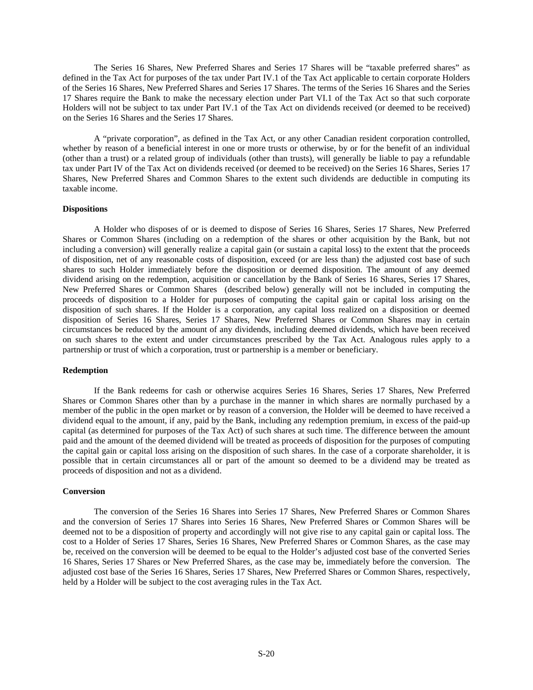The Series 16 Shares, New Preferred Shares and Series 17 Shares will be "taxable preferred shares" as defined in the Tax Act for purposes of the tax under Part IV.1 of the Tax Act applicable to certain corporate Holders of the Series 16 Shares, New Preferred Shares and Series 17 Shares. The terms of the Series 16 Shares and the Series 17 Shares require the Bank to make the necessary election under Part VI.1 of the Tax Act so that such corporate Holders will not be subject to tax under Part IV.1 of the Tax Act on dividends received (or deemed to be received) on the Series 16 Shares and the Series 17 Shares.

A "private corporation", as defined in the Tax Act, or any other Canadian resident corporation controlled, whether by reason of a beneficial interest in one or more trusts or otherwise, by or for the benefit of an individual (other than a trust) or a related group of individuals (other than trusts), will generally be liable to pay a refundable tax under Part IV of the Tax Act on dividends received (or deemed to be received) on the Series 16 Shares, Series 17 Shares, New Preferred Shares and Common Shares to the extent such dividends are deductible in computing its taxable income.

#### **Dispositions**

A Holder who disposes of or is deemed to dispose of Series 16 Shares, Series 17 Shares, New Preferred Shares or Common Shares (including on a redemption of the shares or other acquisition by the Bank, but not including a conversion) will generally realize a capital gain (or sustain a capital loss) to the extent that the proceeds of disposition, net of any reasonable costs of disposition, exceed (or are less than) the adjusted cost base of such shares to such Holder immediately before the disposition or deemed disposition. The amount of any deemed dividend arising on the redemption, acquisition or cancellation by the Bank of Series 16 Shares, Series 17 Shares, New Preferred Shares or Common Shares (described below) generally will not be included in computing the proceeds of disposition to a Holder for purposes of computing the capital gain or capital loss arising on the disposition of such shares. If the Holder is a corporation, any capital loss realized on a disposition or deemed disposition of Series 16 Shares, Series 17 Shares, New Preferred Shares or Common Shares may in certain circumstances be reduced by the amount of any dividends, including deemed dividends, which have been received on such shares to the extent and under circumstances prescribed by the Tax Act. Analogous rules apply to a partnership or trust of which a corporation, trust or partnership is a member or beneficiary.

#### **Redemption**

If the Bank redeems for cash or otherwise acquires Series 16 Shares, Series 17 Shares, New Preferred Shares or Common Shares other than by a purchase in the manner in which shares are normally purchased by a member of the public in the open market or by reason of a conversion, the Holder will be deemed to have received a dividend equal to the amount, if any, paid by the Bank, including any redemption premium, in excess of the paid-up capital (as determined for purposes of the Tax Act) of such shares at such time. The difference between the amount paid and the amount of the deemed dividend will be treated as proceeds of disposition for the purposes of computing the capital gain or capital loss arising on the disposition of such shares. In the case of a corporate shareholder, it is possible that in certain circumstances all or part of the amount so deemed to be a dividend may be treated as proceeds of disposition and not as a dividend.

### **Conversion**

The conversion of the Series 16 Shares into Series 17 Shares, New Preferred Shares or Common Shares and the conversion of Series 17 Shares into Series 16 Shares, New Preferred Shares or Common Shares will be deemed not to be a disposition of property and accordingly will not give rise to any capital gain or capital loss. The cost to a Holder of Series 17 Shares, Series 16 Shares, New Preferred Shares or Common Shares, as the case may be, received on the conversion will be deemed to be equal to the Holder's adjusted cost base of the converted Series 16 Shares, Series 17 Shares or New Preferred Shares, as the case may be, immediately before the conversion. The adjusted cost base of the Series 16 Shares, Series 17 Shares, New Preferred Shares or Common Shares, respectively, held by a Holder will be subject to the cost averaging rules in the Tax Act.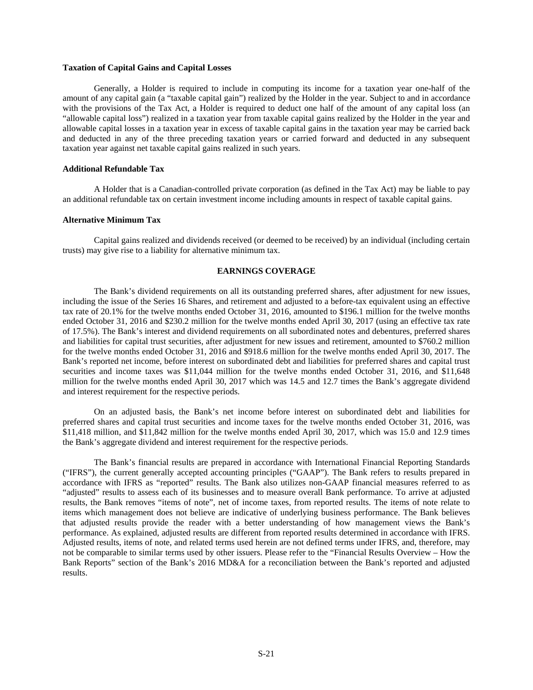### **Taxation of Capital Gains and Capital Losses**

Generally, a Holder is required to include in computing its income for a taxation year one-half of the amount of any capital gain (a "taxable capital gain") realized by the Holder in the year. Subject to and in accordance with the provisions of the Tax Act, a Holder is required to deduct one half of the amount of any capital loss (an "allowable capital loss") realized in a taxation year from taxable capital gains realized by the Holder in the year and allowable capital losses in a taxation year in excess of taxable capital gains in the taxation year may be carried back and deducted in any of the three preceding taxation years or carried forward and deducted in any subsequent taxation year against net taxable capital gains realized in such years.

### **Additional Refundable Tax**

A Holder that is a Canadian-controlled private corporation (as defined in the Tax Act) may be liable to pay an additional refundable tax on certain investment income including amounts in respect of taxable capital gains.

### **Alternative Minimum Tax**

Capital gains realized and dividends received (or deemed to be received) by an individual (including certain trusts) may give rise to a liability for alternative minimum tax.

## **EARNINGS COVERAGE**

The Bank's dividend requirements on all its outstanding preferred shares, after adjustment for new issues, including the issue of the Series 16 Shares, and retirement and adjusted to a before-tax equivalent using an effective tax rate of 20.1% for the twelve months ended October 31, 2016, amounted to \$196.1 million for the twelve months ended October 31, 2016 and \$230.2 million for the twelve months ended April 30, 2017 (using an effective tax rate of 17.5%). The Bank's interest and dividend requirements on all subordinated notes and debentures, preferred shares and liabilities for capital trust securities, after adjustment for new issues and retirement, amounted to \$760.2 million for the twelve months ended October 31, 2016 and \$918.6 million for the twelve months ended April 30, 2017. The Bank's reported net income, before interest on subordinated debt and liabilities for preferred shares and capital trust securities and income taxes was \$11,044 million for the twelve months ended October 31, 2016, and \$11,648 million for the twelve months ended April 30, 2017 which was 14.5 and 12.7 times the Bank's aggregate dividend and interest requirement for the respective periods.

On an adjusted basis, the Bank's net income before interest on subordinated debt and liabilities for preferred shares and capital trust securities and income taxes for the twelve months ended October 31, 2016, was \$11,418 million, and \$11,842 million for the twelve months ended April 30, 2017, which was 15.0 and 12.9 times the Bank's aggregate dividend and interest requirement for the respective periods.

The Bank's financial results are prepared in accordance with International Financial Reporting Standards ("IFRS"), the current generally accepted accounting principles ("GAAP"). The Bank refers to results prepared in accordance with IFRS as "reported" results. The Bank also utilizes non-GAAP financial measures referred to as "adjusted" results to assess each of its businesses and to measure overall Bank performance. To arrive at adjusted results, the Bank removes "items of note", net of income taxes, from reported results. The items of note relate to items which management does not believe are indicative of underlying business performance. The Bank believes that adjusted results provide the reader with a better understanding of how management views the Bank's performance. As explained, adjusted results are different from reported results determined in accordance with IFRS. Adjusted results, items of note, and related terms used herein are not defined terms under IFRS, and, therefore, may not be comparable to similar terms used by other issuers. Please refer to the "Financial Results Overview – How the Bank Reports" section of the Bank's 2016 MD&A for a reconciliation between the Bank's reported and adjusted results.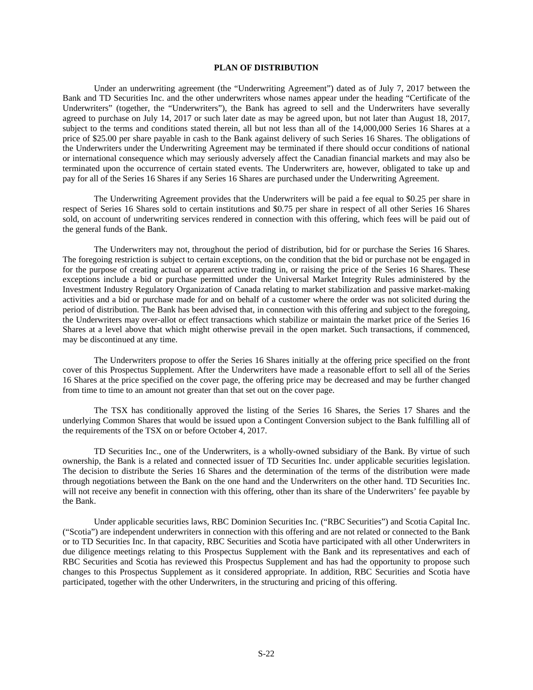### **PLAN OF DISTRIBUTION**

Under an underwriting agreement (the "Underwriting Agreement") dated as of July 7, 2017 between the Bank and TD Securities Inc. and the other underwriters whose names appear under the heading "Certificate of the Underwriters" (together, the "Underwriters"), the Bank has agreed to sell and the Underwriters have severally agreed to purchase on July 14, 2017 or such later date as may be agreed upon, but not later than August 18, 2017, subject to the terms and conditions stated therein, all but not less than all of the 14,000,000 Series 16 Shares at a price of \$25.00 per share payable in cash to the Bank against delivery of such Series 16 Shares. The obligations of the Underwriters under the Underwriting Agreement may be terminated if there should occur conditions of national or international consequence which may seriously adversely affect the Canadian financial markets and may also be terminated upon the occurrence of certain stated events. The Underwriters are, however, obligated to take up and pay for all of the Series 16 Shares if any Series 16 Shares are purchased under the Underwriting Agreement.

The Underwriting Agreement provides that the Underwriters will be paid a fee equal to \$0.25 per share in respect of Series 16 Shares sold to certain institutions and \$0.75 per share in respect of all other Series 16 Shares sold, on account of underwriting services rendered in connection with this offering, which fees will be paid out of the general funds of the Bank.

The Underwriters may not, throughout the period of distribution, bid for or purchase the Series 16 Shares. The foregoing restriction is subject to certain exceptions, on the condition that the bid or purchase not be engaged in for the purpose of creating actual or apparent active trading in, or raising the price of the Series 16 Shares. These exceptions include a bid or purchase permitted under the Universal Market Integrity Rules administered by the Investment Industry Regulatory Organization of Canada relating to market stabilization and passive market-making activities and a bid or purchase made for and on behalf of a customer where the order was not solicited during the period of distribution. The Bank has been advised that, in connection with this offering and subject to the foregoing, the Underwriters may over-allot or effect transactions which stabilize or maintain the market price of the Series 16 Shares at a level above that which might otherwise prevail in the open market. Such transactions, if commenced, may be discontinued at any time.

The Underwriters propose to offer the Series 16 Shares initially at the offering price specified on the front cover of this Prospectus Supplement. After the Underwriters have made a reasonable effort to sell all of the Series 16 Shares at the price specified on the cover page, the offering price may be decreased and may be further changed from time to time to an amount not greater than that set out on the cover page.

The TSX has conditionally approved the listing of the Series 16 Shares, the Series 17 Shares and the underlying Common Shares that would be issued upon a Contingent Conversion subject to the Bank fulfilling all of the requirements of the TSX on or before October 4, 2017.

TD Securities Inc., one of the Underwriters, is a wholly-owned subsidiary of the Bank. By virtue of such ownership, the Bank is a related and connected issuer of TD Securities Inc. under applicable securities legislation. The decision to distribute the Series 16 Shares and the determination of the terms of the distribution were made through negotiations between the Bank on the one hand and the Underwriters on the other hand. TD Securities Inc. will not receive any benefit in connection with this offering, other than its share of the Underwriters' fee payable by the Bank.

Under applicable securities laws, RBC Dominion Securities Inc. ("RBC Securities") and Scotia Capital Inc. ("Scotia") are independent underwriters in connection with this offering and are not related or connected to the Bank or to TD Securities Inc. In that capacity, RBC Securities and Scotia have participated with all other Underwriters in due diligence meetings relating to this Prospectus Supplement with the Bank and its representatives and each of RBC Securities and Scotia has reviewed this Prospectus Supplement and has had the opportunity to propose such changes to this Prospectus Supplement as it considered appropriate. In addition, RBC Securities and Scotia have participated, together with the other Underwriters, in the structuring and pricing of this offering.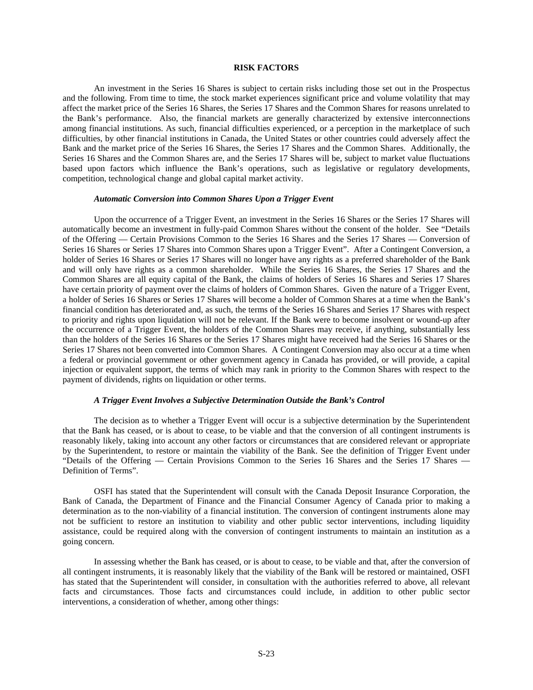### **RISK FACTORS**

An investment in the Series 16 Shares is subject to certain risks including those set out in the Prospectus and the following. From time to time, the stock market experiences significant price and volume volatility that may affect the market price of the Series 16 Shares, the Series 17 Shares and the Common Shares for reasons unrelated to the Bank's performance. Also, the financial markets are generally characterized by extensive interconnections among financial institutions. As such, financial difficulties experienced, or a perception in the marketplace of such difficulties, by other financial institutions in Canada, the United States or other countries could adversely affect the Bank and the market price of the Series 16 Shares, the Series 17 Shares and the Common Shares. Additionally, the Series 16 Shares and the Common Shares are, and the Series 17 Shares will be, subject to market value fluctuations based upon factors which influence the Bank's operations, such as legislative or regulatory developments, competition, technological change and global capital market activity.

#### *Automatic Conversion into Common Shares Upon a Trigger Event*

Upon the occurrence of a Trigger Event, an investment in the Series 16 Shares or the Series 17 Shares will automatically become an investment in fully-paid Common Shares without the consent of the holder. See "Details of the Offering — Certain Provisions Common to the Series 16 Shares and the Series 17 Shares — Conversion of Series 16 Shares or Series 17 Shares into Common Shares upon a Trigger Event". After a Contingent Conversion, a holder of Series 16 Shares or Series 17 Shares will no longer have any rights as a preferred shareholder of the Bank and will only have rights as a common shareholder. While the Series 16 Shares, the Series 17 Shares and the Common Shares are all equity capital of the Bank, the claims of holders of Series 16 Shares and Series 17 Shares have certain priority of payment over the claims of holders of Common Shares. Given the nature of a Trigger Event, a holder of Series 16 Shares or Series 17 Shares will become a holder of Common Shares at a time when the Bank's financial condition has deteriorated and, as such, the terms of the Series 16 Shares and Series 17 Shares with respect to priority and rights upon liquidation will not be relevant. If the Bank were to become insolvent or wound-up after the occurrence of a Trigger Event, the holders of the Common Shares may receive, if anything, substantially less than the holders of the Series 16 Shares or the Series 17 Shares might have received had the Series 16 Shares or the Series 17 Shares not been converted into Common Shares. A Contingent Conversion may also occur at a time when a federal or provincial government or other government agency in Canada has provided, or will provide, a capital injection or equivalent support, the terms of which may rank in priority to the Common Shares with respect to the payment of dividends, rights on liquidation or other terms.

#### *A Trigger Event Involves a Subjective Determination Outside the Bank's Control*

The decision as to whether a Trigger Event will occur is a subjective determination by the Superintendent that the Bank has ceased, or is about to cease, to be viable and that the conversion of all contingent instruments is reasonably likely, taking into account any other factors or circumstances that are considered relevant or appropriate by the Superintendent, to restore or maintain the viability of the Bank. See the definition of Trigger Event under "Details of the Offering — Certain Provisions Common to the Series 16 Shares and the Series 17 Shares — Definition of Terms".

OSFI has stated that the Superintendent will consult with the Canada Deposit Insurance Corporation, the Bank of Canada, the Department of Finance and the Financial Consumer Agency of Canada prior to making a determination as to the non-viability of a financial institution. The conversion of contingent instruments alone may not be sufficient to restore an institution to viability and other public sector interventions, including liquidity assistance, could be required along with the conversion of contingent instruments to maintain an institution as a going concern.

In assessing whether the Bank has ceased, or is about to cease, to be viable and that, after the conversion of all contingent instruments, it is reasonably likely that the viability of the Bank will be restored or maintained, OSFI has stated that the Superintendent will consider, in consultation with the authorities referred to above, all relevant facts and circumstances. Those facts and circumstances could include, in addition to other public sector interventions, a consideration of whether, among other things: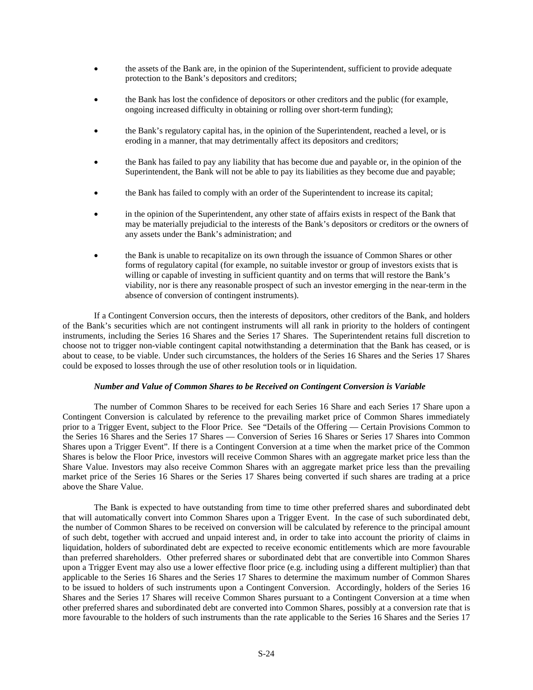- the assets of the Bank are, in the opinion of the Superintendent, sufficient to provide adequate protection to the Bank's depositors and creditors;
- the Bank has lost the confidence of depositors or other creditors and the public (for example, ongoing increased difficulty in obtaining or rolling over short-term funding);
- the Bank's regulatory capital has, in the opinion of the Superintendent, reached a level, or is eroding in a manner, that may detrimentally affect its depositors and creditors;
- the Bank has failed to pay any liability that has become due and payable or, in the opinion of the Superintendent, the Bank will not be able to pay its liabilities as they become due and payable;
- the Bank has failed to comply with an order of the Superintendent to increase its capital;
- in the opinion of the Superintendent, any other state of affairs exists in respect of the Bank that may be materially prejudicial to the interests of the Bank's depositors or creditors or the owners of any assets under the Bank's administration; and
- the Bank is unable to recapitalize on its own through the issuance of Common Shares or other forms of regulatory capital (for example, no suitable investor or group of investors exists that is willing or capable of investing in sufficient quantity and on terms that will restore the Bank's viability, nor is there any reasonable prospect of such an investor emerging in the near-term in the absence of conversion of contingent instruments).

If a Contingent Conversion occurs, then the interests of depositors, other creditors of the Bank, and holders of the Bank's securities which are not contingent instruments will all rank in priority to the holders of contingent instruments, including the Series 16 Shares and the Series 17 Shares. The Superintendent retains full discretion to choose not to trigger non-viable contingent capital notwithstanding a determination that the Bank has ceased, or is about to cease, to be viable. Under such circumstances, the holders of the Series 16 Shares and the Series 17 Shares could be exposed to losses through the use of other resolution tools or in liquidation.

#### *Number and Value of Common Shares to be Received on Contingent Conversion is Variable*

The number of Common Shares to be received for each Series 16 Share and each Series 17 Share upon a Contingent Conversion is calculated by reference to the prevailing market price of Common Shares immediately prior to a Trigger Event, subject to the Floor Price. See "Details of the Offering — Certain Provisions Common to the Series 16 Shares and the Series 17 Shares — Conversion of Series 16 Shares or Series 17 Shares into Common Shares upon a Trigger Event". If there is a Contingent Conversion at a time when the market price of the Common Shares is below the Floor Price, investors will receive Common Shares with an aggregate market price less than the Share Value. Investors may also receive Common Shares with an aggregate market price less than the prevailing market price of the Series 16 Shares or the Series 17 Shares being converted if such shares are trading at a price above the Share Value.

The Bank is expected to have outstanding from time to time other preferred shares and subordinated debt that will automatically convert into Common Shares upon a Trigger Event. In the case of such subordinated debt, the number of Common Shares to be received on conversion will be calculated by reference to the principal amount of such debt, together with accrued and unpaid interest and, in order to take into account the priority of claims in liquidation, holders of subordinated debt are expected to receive economic entitlements which are more favourable than preferred shareholders. Other preferred shares or subordinated debt that are convertible into Common Shares upon a Trigger Event may also use a lower effective floor price (e.g. including using a different multiplier) than that applicable to the Series 16 Shares and the Series 17 Shares to determine the maximum number of Common Shares to be issued to holders of such instruments upon a Contingent Conversion. Accordingly, holders of the Series 16 Shares and the Series 17 Shares will receive Common Shares pursuant to a Contingent Conversion at a time when other preferred shares and subordinated debt are converted into Common Shares, possibly at a conversion rate that is more favourable to the holders of such instruments than the rate applicable to the Series 16 Shares and the Series 17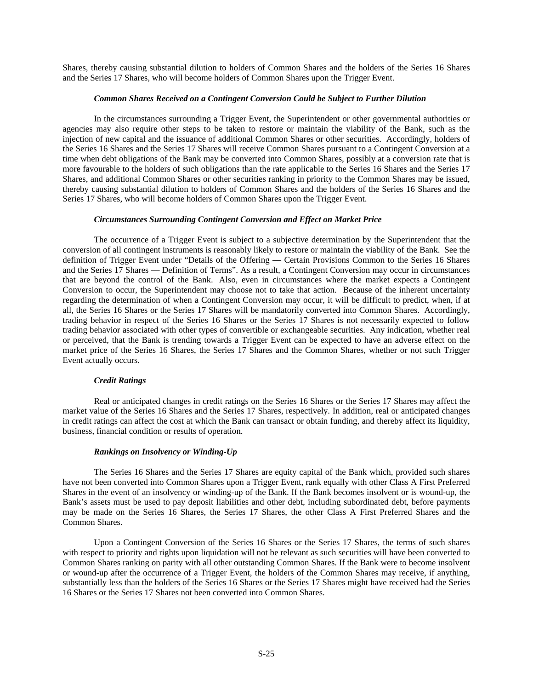Shares, thereby causing substantial dilution to holders of Common Shares and the holders of the Series 16 Shares and the Series 17 Shares, who will become holders of Common Shares upon the Trigger Event.

### *Common Shares Received on a Contingent Conversion Could be Subject to Further Dilution*

In the circumstances surrounding a Trigger Event, the Superintendent or other governmental authorities or agencies may also require other steps to be taken to restore or maintain the viability of the Bank, such as the injection of new capital and the issuance of additional Common Shares or other securities. Accordingly, holders of the Series 16 Shares and the Series 17 Shares will receive Common Shares pursuant to a Contingent Conversion at a time when debt obligations of the Bank may be converted into Common Shares, possibly at a conversion rate that is more favourable to the holders of such obligations than the rate applicable to the Series 16 Shares and the Series 17 Shares, and additional Common Shares or other securities ranking in priority to the Common Shares may be issued, thereby causing substantial dilution to holders of Common Shares and the holders of the Series 16 Shares and the Series 17 Shares, who will become holders of Common Shares upon the Trigger Event.

### *Circumstances Surrounding Contingent Conversion and Effect on Market Price*

The occurrence of a Trigger Event is subject to a subjective determination by the Superintendent that the conversion of all contingent instruments is reasonably likely to restore or maintain the viability of the Bank. See the definition of Trigger Event under "Details of the Offering — Certain Provisions Common to the Series 16 Shares and the Series 17 Shares — Definition of Terms". As a result, a Contingent Conversion may occur in circumstances that are beyond the control of the Bank. Also, even in circumstances where the market expects a Contingent Conversion to occur, the Superintendent may choose not to take that action. Because of the inherent uncertainty regarding the determination of when a Contingent Conversion may occur, it will be difficult to predict, when, if at all, the Series 16 Shares or the Series 17 Shares will be mandatorily converted into Common Shares. Accordingly, trading behavior in respect of the Series 16 Shares or the Series 17 Shares is not necessarily expected to follow trading behavior associated with other types of convertible or exchangeable securities. Any indication, whether real or perceived, that the Bank is trending towards a Trigger Event can be expected to have an adverse effect on the market price of the Series 16 Shares, the Series 17 Shares and the Common Shares, whether or not such Trigger Event actually occurs.

### *Credit Ratings*

Real or anticipated changes in credit ratings on the Series 16 Shares or the Series 17 Shares may affect the market value of the Series 16 Shares and the Series 17 Shares, respectively. In addition, real or anticipated changes in credit ratings can affect the cost at which the Bank can transact or obtain funding, and thereby affect its liquidity, business, financial condition or results of operation.

### *Rankings on Insolvency or Winding-Up*

The Series 16 Shares and the Series 17 Shares are equity capital of the Bank which, provided such shares have not been converted into Common Shares upon a Trigger Event, rank equally with other Class A First Preferred Shares in the event of an insolvency or winding-up of the Bank. If the Bank becomes insolvent or is wound-up, the Bank's assets must be used to pay deposit liabilities and other debt, including subordinated debt, before payments may be made on the Series 16 Shares, the Series 17 Shares, the other Class A First Preferred Shares and the Common Shares.

Upon a Contingent Conversion of the Series 16 Shares or the Series 17 Shares, the terms of such shares with respect to priority and rights upon liquidation will not be relevant as such securities will have been converted to Common Shares ranking on parity with all other outstanding Common Shares. If the Bank were to become insolvent or wound-up after the occurrence of a Trigger Event, the holders of the Common Shares may receive, if anything, substantially less than the holders of the Series 16 Shares or the Series 17 Shares might have received had the Series 16 Shares or the Series 17 Shares not been converted into Common Shares.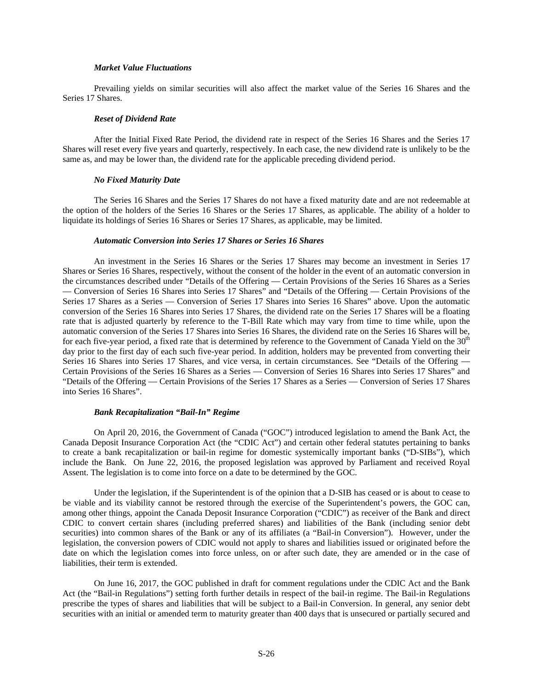### *Market Value Fluctuations*

Prevailing yields on similar securities will also affect the market value of the Series 16 Shares and the Series 17 Shares.

#### *Reset of Dividend Rate*

After the Initial Fixed Rate Period, the dividend rate in respect of the Series 16 Shares and the Series 17 Shares will reset every five years and quarterly, respectively. In each case, the new dividend rate is unlikely to be the same as, and may be lower than, the dividend rate for the applicable preceding dividend period.

#### *No Fixed Maturity Date*

The Series 16 Shares and the Series 17 Shares do not have a fixed maturity date and are not redeemable at the option of the holders of the Series 16 Shares or the Series 17 Shares, as applicable. The ability of a holder to liquidate its holdings of Series 16 Shares or Series 17 Shares, as applicable, may be limited.

### *Automatic Conversion into Series 17 Shares or Series 16 Shares*

An investment in the Series 16 Shares or the Series 17 Shares may become an investment in Series 17 Shares or Series 16 Shares, respectively, without the consent of the holder in the event of an automatic conversion in the circumstances described under "Details of the Offering — Certain Provisions of the Series 16 Shares as a Series — Conversion of Series 16 Shares into Series 17 Shares" and "Details of the Offering — Certain Provisions of the Series 17 Shares as a Series — Conversion of Series 17 Shares into Series 16 Shares" above. Upon the automatic conversion of the Series 16 Shares into Series 17 Shares, the dividend rate on the Series 17 Shares will be a floating rate that is adjusted quarterly by reference to the T-Bill Rate which may vary from time to time while, upon the automatic conversion of the Series 17 Shares into Series 16 Shares, the dividend rate on the Series 16 Shares will be, for each five-year period, a fixed rate that is determined by reference to the Government of Canada Yield on the  $30<sup>th</sup>$ day prior to the first day of each such five-year period. In addition, holders may be prevented from converting their Series 16 Shares into Series 17 Shares, and vice versa, in certain circumstances. See "Details of the Offering — Certain Provisions of the Series 16 Shares as a Series — Conversion of Series 16 Shares into Series 17 Shares" and "Details of the Offering — Certain Provisions of the Series 17 Shares as a Series — Conversion of Series 17 Shares into Series 16 Shares".

#### *Bank Recapitalization "Bail-In" Regime*

On April 20, 2016, the Government of Canada ("GOC") introduced legislation to amend the Bank Act, the Canada Deposit Insurance Corporation Act (the "CDIC Act") and certain other federal statutes pertaining to banks to create a bank recapitalization or bail-in regime for domestic systemically important banks ("D-SIBs"), which include the Bank. On June 22, 2016, the proposed legislation was approved by Parliament and received Royal Assent. The legislation is to come into force on a date to be determined by the GOC.

Under the legislation, if the Superintendent is of the opinion that a D-SIB has ceased or is about to cease to be viable and its viability cannot be restored through the exercise of the Superintendent's powers, the GOC can, among other things, appoint the Canada Deposit Insurance Corporation ("CDIC") as receiver of the Bank and direct CDIC to convert certain shares (including preferred shares) and liabilities of the Bank (including senior debt securities) into common shares of the Bank or any of its affiliates (a "Bail-in Conversion"). However, under the legislation, the conversion powers of CDIC would not apply to shares and liabilities issued or originated before the date on which the legislation comes into force unless, on or after such date, they are amended or in the case of liabilities, their term is extended.

On June 16, 2017, the GOC published in draft for comment regulations under the CDIC Act and the Bank Act (the "Bail-in Regulations") setting forth further details in respect of the bail-in regime. The Bail-in Regulations prescribe the types of shares and liabilities that will be subject to a Bail-in Conversion. In general, any senior debt securities with an initial or amended term to maturity greater than 400 days that is unsecured or partially secured and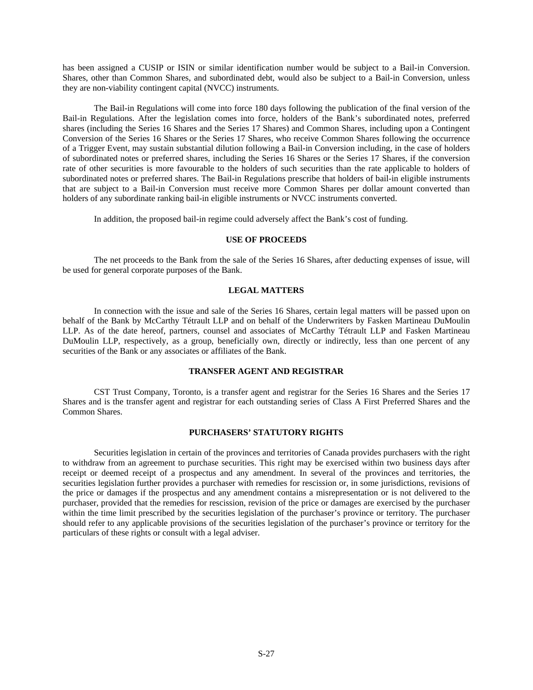has been assigned a CUSIP or ISIN or similar identification number would be subject to a Bail-in Conversion. Shares, other than Common Shares, and subordinated debt, would also be subject to a Bail-in Conversion, unless they are non-viability contingent capital (NVCC) instruments.

The Bail-in Regulations will come into force 180 days following the publication of the final version of the Bail-in Regulations. After the legislation comes into force, holders of the Bank's subordinated notes, preferred shares (including the Series 16 Shares and the Series 17 Shares) and Common Shares, including upon a Contingent Conversion of the Series 16 Shares or the Series 17 Shares, who receive Common Shares following the occurrence of a Trigger Event, may sustain substantial dilution following a Bail-in Conversion including, in the case of holders of subordinated notes or preferred shares, including the Series 16 Shares or the Series 17 Shares, if the conversion rate of other securities is more favourable to the holders of such securities than the rate applicable to holders of subordinated notes or preferred shares. The Bail-in Regulations prescribe that holders of bail-in eligible instruments that are subject to a Bail-in Conversion must receive more Common Shares per dollar amount converted than holders of any subordinate ranking bail-in eligible instruments or NVCC instruments converted.

In addition, the proposed bail-in regime could adversely affect the Bank's cost of funding.

### **USE OF PROCEEDS**

The net proceeds to the Bank from the sale of the Series 16 Shares, after deducting expenses of issue, will be used for general corporate purposes of the Bank.

## **LEGAL MATTERS**

In connection with the issue and sale of the Series 16 Shares, certain legal matters will be passed upon on behalf of the Bank by McCarthy Tétrault LLP and on behalf of the Underwriters by Fasken Martineau DuMoulin LLP. As of the date hereof, partners, counsel and associates of McCarthy Tétrault LLP and Fasken Martineau DuMoulin LLP, respectively, as a group, beneficially own, directly or indirectly, less than one percent of any securities of the Bank or any associates or affiliates of the Bank.

## **TRANSFER AGENT AND REGISTRAR**

CST Trust Company, Toronto, is a transfer agent and registrar for the Series 16 Shares and the Series 17 Shares and is the transfer agent and registrar for each outstanding series of Class A First Preferred Shares and the Common Shares.

### **PURCHASERS' STATUTORY RIGHTS**

Securities legislation in certain of the provinces and territories of Canada provides purchasers with the right to withdraw from an agreement to purchase securities. This right may be exercised within two business days after receipt or deemed receipt of a prospectus and any amendment. In several of the provinces and territories, the securities legislation further provides a purchaser with remedies for rescission or, in some jurisdictions, revisions of the price or damages if the prospectus and any amendment contains a misrepresentation or is not delivered to the purchaser, provided that the remedies for rescission, revision of the price or damages are exercised by the purchaser within the time limit prescribed by the securities legislation of the purchaser's province or territory. The purchaser should refer to any applicable provisions of the securities legislation of the purchaser's province or territory for the particulars of these rights or consult with a legal adviser.